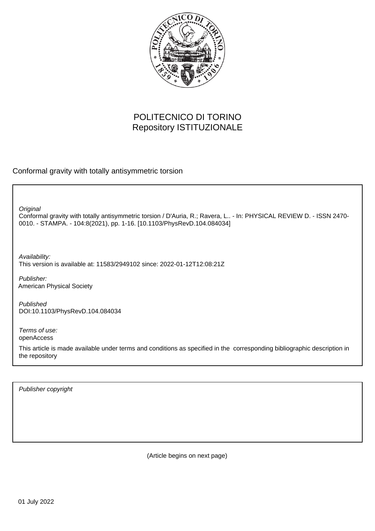

# POLITECNICO DI TORINO Repository ISTITUZIONALE

Conformal gravity with totally antisymmetric torsion

**Original** 

Conformal gravity with totally antisymmetric torsion / D'Auria, R.; Ravera, L.. - In: PHYSICAL REVIEW D. - ISSN 2470- 0010. - STAMPA. - 104:8(2021), pp. 1-16. [10.1103/PhysRevD.104.084034]

Availability: This version is available at: 11583/2949102 since: 2022-01-12T12:08:21Z

Publisher: American Physical Society

Published DOI:10.1103/PhysRevD.104.084034

Terms of use: openAccess

This article is made available under terms and conditions as specified in the corresponding bibliographic description in the repository

Publisher copyright

(Article begins on next page)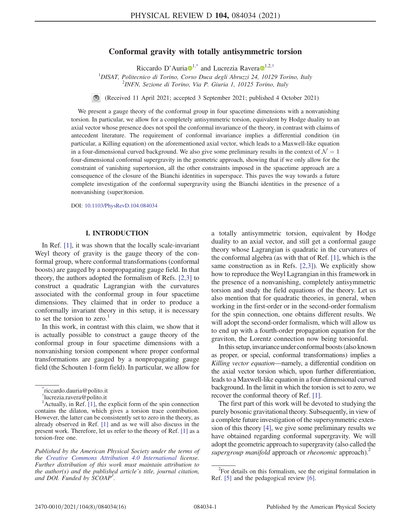# Conformal gravity with totally antisymmetric torsion

Riccardo D'Auria  $\mathbf{D}^1$  $\mathbf{D}^1$ , and Lucrezia Ravera  $\mathbf{D}^1$ , 2,  $\dagger$ 

<sup>1</sup>DISAT, Politecnico di Torino, Corso Duca degli Abruzzi 24, 10129 Torino, Italy  $\frac{2}{N}$  $2$ INFN, Sezione di Torino, Via P. Giuria 1, 10125 Torino, Italy

(Received 11 April 2021; accepted 3 September 2021; published 4 October 2021)

We present a gauge theory of the conformal group in four spacetime dimensions with a nonvanishing torsion. In particular, we allow for a completely antisymmetric torsion, equivalent by Hodge duality to an axial vector whose presence does not spoil the conformal invariance of the theory, in contrast with claims of antecedent literature. The requirement of conformal invariance implies a differential condition (in particular, a Killing equation) on the aforementioned axial vector, which leads to a Maxwell-like equation in a four-dimensional curved background. We also give some preliminary results in the context of  $\mathcal{N} = 1$ four-dimensional conformal supergravity in the geometric approach, showing that if we only allow for the constraint of vanishing supertorsion, all the other constraints imposed in the spacetime approach are a consequence of the closure of the Bianchi identities in superspace. This paves the way towards a future complete investigation of the conformal supergravity using the Bianchi identities in the presence of a nonvanishing (super)torsion.

DOI: [10.1103/PhysRevD.104.084034](https://doi.org/10.1103/PhysRevD.104.084034)

#### I. INTRODUCTION

In Ref. [1], it was shown that the locally scale-invariant Weyl theory of gravity is the gauge theory of the conformal group, where conformal transformations (conformal boosts) are gauged by a nonpropagating gauge field. In that theory, the authors adopted the formalism of Refs. [2,3] to construct a quadratic Lagrangian with the curvatures associated with the conformal group in four spacetime dimensions. They claimed that in order to produce a conformally invariant theory in this setup, it is necessary to set the torsion to zero.<sup>1</sup>

In this work, in contrast with this claim, we show that it is actually possible to construct a gauge theory of the conformal group in four spacetime dimensions with a nonvanishing torsion component where proper conformal transformations are gauged by a nonpropagating gauge field (the Schouten 1-form field). In particular, we allow for a totally antisymmetric torsion, equivalent by Hodge duality to an axial vector, and still get a conformal gauge theory whose Lagrangian is quadratic in the curvatures of the conformal algebra (as with that of Ref. [1], which is the same construction as in Refs. [2,3]). We explicitly show how to reproduce the Weyl Lagrangian in this framework in the presence of a nonvanishing, completely antisymmetric torsion and study the field equations of the theory. Let us also mention that for quadratic theories, in general, when working in the first-order or in the second-order formalism for the spin connection, one obtains different results. We will adopt the second-order formalism, which will allow us to end up with a fourth-order propagation equation for the graviton, the Lorentz connection now being torsionful.

In this setup, invariance under conformal boosts (also known as proper, or special, conformal transformations) implies a Killing vector equation—namely, a differential condition on the axial vector torsion which, upon further differentiation, leads to a Maxwell-like equation in a four-dimensional curved background. In the limit in which the torsion is set to zero, we recover the conformal theory of Ref. [1].

The first part of this work will be devoted to studying the purely bosonic gravitational theory. Subsequently, in view of a complete future investigation of the supersymmetric extension of this theory [4], we give some preliminary results we have obtained regarding conformal supergravity. We will adopt the geometric approach to supergravity (also called the supergroup manifold approach or rheonomic approach).<sup>2</sup>

<sup>\*</sup> riccardo.dauria@polito.it

<sup>†</sup> lucrezia.ravera@polito.it

 $<sup>1</sup>$ Actually, in Ref. [1], the explicit form of the spin connection</sup> contains the dilaton, which gives a torsion trace contribution. However, the latter can be consistently set to zero in the theory, as already observed in Ref. [1] and as we will also discuss in the present work. Therefore, let us refer to the theory of Ref. [1] as a torsion-free one.

Published by the American Physical Society under the terms of the [Creative Commons Attribution 4.0 International](https://creativecommons.org/licenses/by/4.0/) license. Further distribution of this work must maintain attribution to the author(s) and the published article's title, journal citation, and DOI. Funded by SCOAP<sup>3</sup>.

 $2^2$ For details on this formalism, see the original formulation in Ref. [5] and the pedagogical review [6].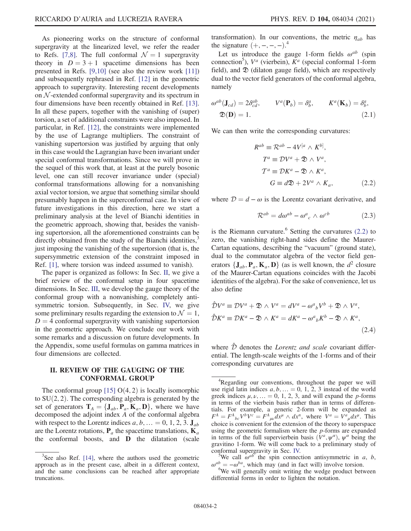As pioneering works on the structure of conformal supergravity at the linearized level, we refer the reader to Refs. [7,8]. The full conformal  $\mathcal{N} = 1$  supergravity theory in  $D = 3 + 1$  spacetime dimensions has been presented in Refs. [9,10] (see also the review work [11]) and subsequently rephrased in Ref. [12] in the geometric approach to supergravity. Interesting recent developments on  $N$ -extended conformal supergravity and its spectrum in four dimensions have been recently obtained in Ref. [13]. In all these papers, together with the vanishing of (super) torsion, a set of additional constraints were also imposed. In particular, in Ref. [12], the constraints were implemented by the use of Lagrange multipliers. The constraint of vanishing supertorsion was justified by arguing that only in this case would the Lagrangian have been invariant under special conformal transformations. Since we will prove in the sequel of this work that, at least at the purely bosonic level, one can still recover invariance under (special) conformal transformations allowing for a nonvanishing axial vector torsion, we argue that something similar should presumably happen in the superconformal case. In view of future investigations in this direction, here we start a preliminary analysis at the level of Bianchi identities in the geometric approach, showing that, besides the vanishing supertorsion, all the aforementioned constraints can be directly obtained from the study of the Bianchi identities,<sup>3</sup> just imposing the vanishing of the supertorsion (that is, the supersymmetric extension of the constraint imposed in Ref. [1], where torsion was indeed assumed to vanish).

The paper is organized as follows: In Sec. II, we give a brief review of the conformal setup in four spacetime dimensions. In Sec. III, we develop the gauge theory of the conformal group with a nonvanishing, completely antisymmetric torsion. Subsequently, in Sec. IV, we give some preliminary results regarding the extension to  $\mathcal{N} = 1$ ,  $D = 4$  conformal supergravity with vanishing supertorsion in the geometric approach. We conclude our work with some remarks and a discussion on future developments. In the Appendix, some useful formulas on gamma matrices in four dimensions are collected.

## II. REVIEW OF THE GAUGING OF THE CONFORMAL GROUP

The conformal group  $[15]$  O(4, 2) is locally isomorphic to  $SU(2, 2)$ . The corresponding algebra is generated by the set of generators  $T_A = \{J_{ab}, P_a, K_a, D\}$ , where we have decomposed the adjoint index A of the conformal algebra with respect to the Lorentz indices  $a, b, ... = 0, 1, 2, 3$ . J<sub>ab</sub> are the Lorentz rotations,  $P_a$  the spacetime translations,  $K_a$ the conformal boosts, and D the dilatation (scale transformation). In our conventions, the metric  $\eta_{ab}$  has the signature  $(+,-,-,-)$ <sup>4</sup><br>Let us introduce the  $\alpha$ 

Let us introduce the gauge 1-form fields  $\omega^{ab}$  (spin connection<sup>5</sup>),  $V^a$  (vierbein),  $K^a$  (special conformal 1-form field), and  $\mathfrak D$  (dilaton gauge field), which are respectively dual to the vector field generators of the conformal algebra, namely

$$
\omega^{ab}(\mathbf{J}_{cd}) = 2\delta^{ab}_{cd}, \qquad V^a(\mathbf{P}_b) = \delta^a_b, \qquad K^a(\mathbf{K}_b) = \delta^a_b,
$$
  

$$
\mathfrak{D}(\mathbf{D}) = 1.
$$
 (2.1)

We can then write the corresponding curvatures:

$$
R^{ab} \equiv \mathcal{R}^{ab} - 4V^{[a} \wedge K^{b]},
$$
  
\n
$$
T^{a} \equiv \mathcal{D}V^{a} + \mathfrak{D} \wedge V^{a},
$$
  
\n
$$
\mathcal{T}^{a} \equiv \mathcal{D}K^{a} - \mathfrak{D} \wedge K^{a},
$$
  
\n
$$
G \equiv d\mathfrak{D} + 2V^{a} \wedge K_{a},
$$
\n(2.2)

where  $D = d - \omega$  is the Lorentz covariant derivative, and

$$
\mathcal{R}^{ab} = d\omega^{ab} - {\omega^a}_c \wedge {\omega^{cb}} \tag{2.3}
$$

is the Riemann curvature.<sup>6</sup> Setting the curvatures  $(2.2)$  to zero, the vanishing right-hand sides define the Maurer-Cartan equations, describing the "vacuum" (ground state), dual to the commutator algebra of the vector field generators  $\{J_{ab}, P_a, K_a, D\}$  (as is well known, the  $d^2$  closure of the Maurer-Cartan equations coincides with the Jacobi identities of the algebra). For the sake of convenience, let us also define

$$
\hat{\mathcal{D}}V^{a} \equiv \mathcal{D}V^{a} + \mathfrak{D} \wedge V^{a} = dV^{a} - \omega^{a}{}_{b}V^{b} + \mathfrak{D} \wedge V^{a},
$$
  

$$
\hat{\mathcal{D}}K^{a} \equiv \mathcal{D}K^{a} - \mathfrak{D} \wedge K^{a} = dK^{a} - \omega^{a}{}_{b}K^{b} - \mathfrak{D} \wedge K^{a},
$$
  
(2.4)

where  $\hat{\mathcal{D}}$  denotes the *Lorentz and scale* covariant differential. The length-scale weights of the 1-forms and of their corresponding curvatures are

 $3$ See also Ref. [14], where the authors used the geometric approach as in the present case, albeit in a different context, and the same conclusions can be reached after appropriate truncations.

<sup>&</sup>lt;sup>4</sup>Regarding our conventions, throughout the paper we will use rigid latin indices  $a, b, \ldots = 0, 1, 2, 3$  instead of the world greek indices  $\mu$ ,  $\nu$ , ... = 0, 1, 2, 3, and will expand the p-forms in terms of the vierbein basis rather than in terms of differentials. For example, a generic 2-form will be expanded as  $F^A = F^A{}_{bc}V^bV^c = F^A{}_{\mu\nu}dx^{\mu} \wedge dx^n$ , where  $V^a = V^a{}_{\mu}dx^{\mu}$ . This choice is convenient for the extension of the theory to superspace choice is convenient for the extension of the theory to superspace using the geometric formalism where the  $p$ -forms are expanded in terms of the full supervierbein basis  $(V^a, \psi^{\alpha})$ ,  $\psi^{\alpha}$  being the gravitino 1-form. We will come back to a preliminary study of conformal supergravity in Sec. IV.

<sup>&</sup>lt;sup>5</sup>We call  $\omega^{ab}$  the spin connection antisymmetric in a, b,  $\omega^{ab} = -\omega^{ba}$ , which may (and in fact will) involve torsion.

<sup>&</sup>lt;sup>6</sup>We will generally omit writing the wedge product between differential forms in order to lighten the notation.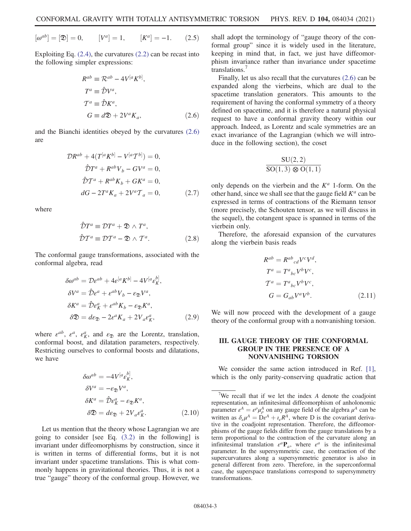$[\omega^{ab}] = [\mathfrak{D}] = 0, \qquad [V^a]$  $[V^a] = 1.$  $[K^a] = -1.$  (2.5)

Exploiting Eq.  $(2.4)$ , the curvatures  $(2.2)$  can be recast into the following simpler expressions:

$$
R^{ab} \equiv \mathcal{R}^{ab} - 4V^{[a}K^{b]},
$$
  
\n
$$
T^{a} \equiv \hat{\mathcal{D}}V^{a},
$$
  
\n
$$
\mathcal{T}^{a} \equiv \hat{\mathcal{D}}K^{a},
$$
  
\n
$$
G \equiv d\mathfrak{D} + 2V^{a}K_{a},
$$
\n(2.6)

and the Bianchi identities obeyed by the curvatures (2.6) are

$$
\mathcal{D}R^{ab} + 4(T^{[a}K^{b]} - V^{[a}T^{b]}) = 0,
$$
  

$$
\hat{D}T^{a} + R^{ab}V_{b} - GV^{a} = 0,
$$
  

$$
\hat{D}T^{a} + R^{ab}K_{b} + GK^{a} = 0,
$$
  

$$
dG - 2T^{a}K_{a} + 2V^{a}T_{a} = 0,
$$
 (2.7)

where

$$
\hat{\mathcal{D}}T^{a} \equiv \mathcal{D}T^{a} + \mathfrak{D} \wedge T^{a}, \n\hat{\mathcal{D}}T^{a} \equiv \mathcal{D}T^{a} - \mathfrak{D} \wedge T^{a}.
$$
\n(2.8)

The conformal gauge transformations, associated with the conformal algebra, read

$$
\delta \omega^{ab} = \mathcal{D} \varepsilon^{ab} + 4\varepsilon^{[a} K^{b]} - 4V^{[a} \varepsilon^{b]}_{K},
$$
  
\n
$$
\delta V^{a} = \hat{\mathcal{D}} \varepsilon^{a} + \varepsilon^{ab} V_{b} - \varepsilon_{\mathfrak{D}} V^{a},
$$
  
\n
$$
\delta K^{a} = \hat{\mathcal{D}} \varepsilon^{a}_{K} + \varepsilon^{ab} K_{b} - \varepsilon_{\mathfrak{D}} K^{a},
$$
  
\n
$$
\delta \mathfrak{D} = d\varepsilon_{\mathfrak{D}} - 2\varepsilon^{a} K_{a} + 2V_{a} \varepsilon^{a}_{K},
$$
\n(2.9)

where  $\varepsilon^{ab}$ ,  $\varepsilon^a$ ,  $\varepsilon^a$ , and  $\varepsilon_{\mathfrak{D}}$  are the Lorentz, translation, conformal boost, and dilatation parameters, respectively. Restricting ourselves to conformal boosts and dilatations, we have

$$
\delta \omega^{ab} = -4V^{[a} \varepsilon^{b]}_{K},
$$
  
\n
$$
\delta V^{a} = -\varepsilon_{\mathfrak{D}} V^{a},
$$
  
\n
$$
\delta K^{a} = \hat{\mathcal{D}} \varepsilon_{K}^{a} - \varepsilon_{\mathfrak{D}} K^{a},
$$
  
\n
$$
\delta \mathfrak{D} = d\varepsilon_{\mathfrak{D}} + 2V_{a} \varepsilon_{K}^{a}.
$$
\n(2.10)

Let us mention that the theory whose Lagrangian we are going to consider [see Eq.  $(3.2)$  in the following] is invariant under diffeomorphisms by construction, since it is written in terms of differential forms, but it is not invariant under spacetime translations. This is what commonly happens in gravitational theories. Thus, it is not a true "gauge" theory of the conformal group. However, we shall adopt the terminology of "gauge theory of the conformal group" since it is widely used in the literature, keeping in mind that, in fact, we just have diffeomorphism invariance rather than invariance under spacetime translations.<sup>7</sup>

Finally, let us also recall that the curvatures (2.6) can be expanded along the vierbeins, which are dual to the spacetime translation generators. This amounts to the requirement of having the conformal symmetry of a theory defined on spacetime, and it is therefore a natural physical request to have a conformal gravity theory within our approach. Indeed, as Lorentz and scale symmetries are an exact invariance of the Lagrangian (which we will introduce in the following section), the coset

$$
\frac{\mathrm{SU}(2,2)}{\mathrm{SO}(1,3)\otimes \mathrm{O}(1,1)}
$$

only depends on the vierbein and the  $K^a$  1-form. On the other hand, since we shall see that the gauge field  $K^a$  can be expressed in terms of contractions of the Riemann tensor (more precisely, the Schouten tensor, as we will discuss in the sequel), the cotangent space is spanned in terms of the vierbein only.

Therefore, the aforesaid expansion of the curvatures along the vierbein basis reads

$$
R^{ab} = R^{ab}{}_{cd}V^{c}V^{d},
$$
  
\n
$$
T^{a} = T^{a}{}_{bc}V^{b}V^{c},
$$
  
\n
$$
T^{a} = T^{a}{}_{bc}V^{b}V^{c},
$$
  
\n
$$
G = G_{ab}V^{a}V^{b}.
$$
\n(2.11)

We will now proceed with the development of a gauge theory of the conformal group with a nonvanishing torsion.

## III. GAUGE THEORY OF THE CONFORMAL GROUP IN THE PRESENCE OF A NONVANISHING TORSION

We consider the same action introduced in Ref. [1], which is the only parity-conserving quadratic action that

<sup>&</sup>lt;sup>7</sup>We recall that if we let the index A denote the coadjoint representation, an infinitesimal diffeomorphism of anholonomic parameter  $\varepsilon^A = \varepsilon^\rho \mu_\rho^A$  on any gauge field of the algebra  $\mu^A$  can be written as  $\delta \mu^A - \mathrm{D} \varepsilon^A + I \varepsilon^A$  where  $D$  is the covariant derivawritten as  $\delta_{\varepsilon}\mu^A = D\varepsilon^A + \iota_{\varepsilon}R^A$ , where D is the covariant derivative in the coadjoint representation. Therefore, the diffeomorphisms of the gauge fields differ from the gauge translations by a term proportional to the contraction of the curvature along an infinitesimal translation  $\varepsilon^a \mathbf{P}_a$ , where  $\varepsilon^a$  is the infinitesimal parameter. In the supersymmetric case, the contraction of the supercurvatures along a supersymmetric generator is also in general different from zero. Therefore, in the superconformal case, the superspace translations correspond to supersymmetry transformations.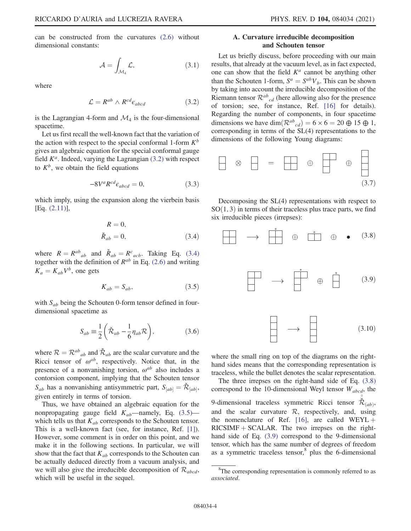$\Box$ 

can be constructed from the curvatures (2.6) without dimensional constants:

$$
\mathcal{A} = \int_{\mathcal{M}_4} \mathcal{L},\tag{3.1}
$$

where

$$
\mathcal{L} = R^{ab} \wedge R^{cd} \epsilon_{abcd} \tag{3.2}
$$

is the Lagrangian 4-form and  $\mathcal{M}_4$  is the four-dimensional spacetime.

Let us first recall the well-known fact that the variation of the action with respect to the special conformal 1-form  $K^b$ gives an algebraic equation for the special conformal gauge field  $K^a$ . Indeed, varying the Lagrangian (3.2) with respect to  $K^b$ , we obtain the field equations

$$
-8V^a R^{cd} \epsilon_{abcd} = 0, \qquad (3.3)
$$

which imply, using the expansion along the vierbein basis [Eq. (2.11)],

$$
R = 0,
$$
  

$$
\check{R}_{ab} = 0,
$$
 (3.4)

where  $R = R^{ab}{}_{ab}$  and  $\check{R}_{ab} = R^c{}_{acb}$ . Taking Eq. (3.4)<br>together with the definition of  $R^{ab}$  in Eq. (2.6) and writing together with the definition of  $R^{ab}$  in Eq. (2.6) and writing  $K_a = K_{ab} V^b$ , one gets

$$
K_{ab} = S_{ab},\tag{3.5}
$$

with  $S_{ab}$  being the Schouten 0-form tensor defined in fourdimensional spacetime as

$$
S_{ab} \equiv \frac{1}{2} \left( \check{\mathcal{R}}_{ab} - \frac{1}{6} \eta_{ab} \mathcal{R} \right), \tag{3.6}
$$

where  $R = R^{ab}{}_{ab}$  and  $\tilde{R}_{ab}$  are the scalar curvature and the<br>Ricci tensor of  $\omega^{ab}$  respectively. Notice that in the Ricci tensor of  $\omega^{ab}$ , respectively. Notice that, in the presence of a nonvanishing torsion,  $\omega^{ab}$  also includes a contorsion component, implying that the Schouten tensor  $S_{ab}$  has a nonvanishing antisymmetric part,  $S_{[ab]} = \check{\mathcal{R}}_{[ab]}$ ,<br>given ontirely in terms of torsion given entirely in terms of torsion.

Thus, we have obtained an algebraic equation for the nonpropagating gauge field  $K_{ab}$ —namely, Eq. (3.5) which tells us that  $K_{ab}$  corresponds to the Schouten tensor. This is a well-known fact (see, for instance, Ref. [1]). However, some comment is in order on this point, and we make it in the following sections. In particular, we will show that the fact that  $K_{ab}$  corresponds to the Schouten can be actually deduced directly from a vacuum analysis, and we will also give the irreducible decomposition of  $\mathcal{R}_{abcd}$ , which will be useful in the sequel.

# A. Curvature irreducible decomposition and Schouten tensor

Let us briefly discuss, before proceeding with our main results, that already at the vacuum level, as in fact expected, one can show that the field  $K^a$  cannot be anything other than the Schouten 1-form,  $S^a = S^{ab}V_b$ . This can be shown by taking into account the irreducible decomposition of the Riemann tensor  $\mathcal{R}^{ab}{}_{cd}$  (here allowing also for the presence of torsion; see, for instance, Ref. [16] for details). Regarding the number of components, in four spacetime dimensions we have  $\dim(\mathcal{R}^{ab}_{cd}) = 6 \times 6 = 20 \oplus 15 \oplus 1$ ,<br>corresponding in terms of the SI (4) representations to the corresponding in terms of the SL(4) representations to the dimensions of the following Young diagrams:

$$
\Box \otimes \Box = \Box \oplus \Box \oplus \Box
$$
\n(3.7)

Decomposing the SL(4) representations with respect to  $SO(1, 3)$  in terms of their traceless plus trace parts, we find six irreducible pieces (irrepses):



where the small ring on top of the diagrams on the righthand sides means that the corresponding representation is traceless, while the bullet denotes the scalar representation.

The three irrepses on the right-hand side of Eq. (3.8) correspond to the 10-dimensional Weyl tensor  $W_{abcd}$ , the

9-dimensional traceless symmetric Ricci tensor  $\check{\mathcal{R}}_{(ab)}$ ∘ and the scalar curvature  $R$ , respectively, and, using the nomenclature of Ref. [16], are called  $WEYL$  +  $RICSIMF + SCALAR$ . The two irrepses on the righthand side of Eq. (3.9) correspond to the 9-dimensional tensor, which has the same number of degrees of freedom as a symmetric traceless tensor, $8$  plus the 6-dimensional

<sup>&</sup>lt;sup>8</sup>The corresponding representation is commonly referred to as associated.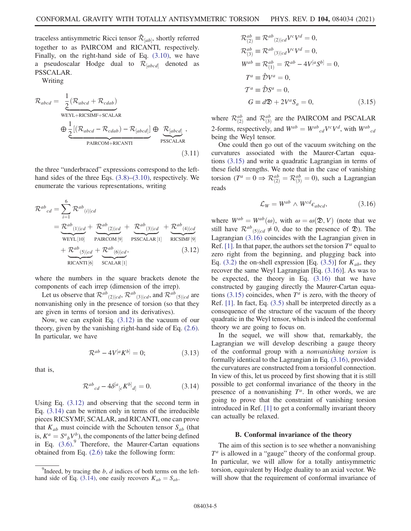traceless antisymmetric Ricci tensor  $\check{\mathcal{R}}_{[ab]}$ , shortly referred<br>the state at a sear DAIDCOM, and DIGANTI, respectively together to as PAIRCOM and RICANTI, respectively. Finally, on the right-hand side of Eq. (3.10), we have a pseudoscalar Hodge dual to  $\mathcal{R}_{[abcd]}$  denoted as PSSCALAR.

Writing

$$
\mathcal{R}_{abcd} = \underbrace{\frac{1}{2} (\mathcal{R}_{abcd} + \mathcal{R}_{cdab})}_{\text{WEYL+RICSIMF+SCALAR}} + \underbrace{\Theta \frac{1}{2} [(\mathcal{R}_{abcd} - \mathcal{R}_{cdab}) - \mathcal{R}_{[abcd]}}_{\text{PAIRCOM+RICANTI}} \oplus \underbrace{\mathcal{R}_{[abcd]}}_{\text{PSSCALAR}},
$$
\n(3.11)

the three "underbraced" expressions correspond to the lefthand sides of the three Eqs. (3.8)–(3.10), respectively. We enumerate the various representations, writing

$$
\mathcal{R}^{ab}_{cd} = \sum_{i=1}^{6} \mathcal{R}^{ab}_{(i)|cd}
$$
\n
$$
= \underbrace{\mathcal{R}^{ab}_{(1)|cd}}_{\text{WEYL}[10]} + \underbrace{\mathcal{R}^{ab}_{(2)|cd}}_{\text{PAIRCOM}[9]} + \underbrace{\mathcal{R}^{ab}_{(3)|cd}}_{\text{PSSCALAR}[1]} + \underbrace{\mathcal{R}^{ab}_{(4)|cd}}_{\text{RICSIMF}[9]} + \underbrace{\mathcal{R}^{ab}_{(5)|cd}}_{\text{RICANTI}[6]} + \underbrace{\mathcal{R}^{ab}_{(6)|cd}}_{\text{SCALAR}[1]}, \qquad (3.12)
$$

where the numbers in the square brackets denote the components of each irrep (dimension of the irrep).

Let us observe that  $\mathcal{R}^{ab}(2)|cd, \mathcal{R}^{ab}(3)|cd,$  and  $\mathcal{R}^{ab}(5)|cd$  are nonvanishing only in the presence of torsion (so that they are given in terms of torsion and its derivatives).

Now, we can exploit Eq. (3.12) in the vacuum of our theory, given by the vanishing right-hand side of Eq. (2.6). In particular, we have

$$
\mathcal{R}^{ab} - 4V^{[a}K^{b]} = 0; \tag{3.13}
$$

that is,

$$
\mathcal{R}^{ab}{}_{cd} - 4\delta^{[a}{}_{[c}K^{b]}{}_{d]} = 0. \tag{3.14}
$$

Using Eq. (3.12) and observing that the second term in Eq. (3.14) can be written only in terms of the irreducible pieces RICSYMF, SCALAR, and RICANTI, one can prove that  $K_{ab}$  must coincide with the Schouten tensor  $S_{ab}$  (that is,  $K^a = S^a{}_b V^b$ , the components of the latter being defined<br>in Eq. (3.6)<sup>9</sup> Therefore, the Maurer-Cartan equations in Eq.  $(3.6)$ . Therefore, the Maurer-Cartan equations obtained from Eq. (2.6) take the following form:

$$
\mathcal{R}_{(2)}^{ab} \equiv \mathcal{R}^{ab}{}_{(2)|cd}V^{c}V^{d} = 0,
$$
  
\n
$$
\mathcal{R}_{(3)}^{ab} \equiv \mathcal{R}^{ab}{}_{(3)|cd}V^{c}V^{d} = 0,
$$
  
\n
$$
W^{ab} \equiv \mathcal{R}_{(1)}^{ab} = \mathcal{R}^{ab} - 4V^{[a}S^{b]} = 0,
$$
  
\n
$$
T^{a} \equiv \hat{\mathcal{D}}V^{a} = 0,
$$
  
\n
$$
\mathcal{T}^{a} \equiv \hat{\mathcal{D}}S^{a} = 0,
$$
  
\n
$$
G \equiv d\mathfrak{D} + 2V^{a}S_{a} = 0,
$$
  
\n(3.15)

where  $\mathcal{R}_{(2)}^{ab}$  and  $\mathcal{R}_{(3)}^{ab}$  are the PAIRCOM and PSCALAR 2-forms, respectively, and  $W^{ab} = W^{ab}{}_{cd}V^cV^d$ , with  $W^{ab}{}_{cd}$ <br>being the Weyl tensor being the Weyl tensor.

One could then go out of the vacuum switching on the curvatures associated with the Maurer-Cartan equations (3.15) and write a quadratic Lagrangian in terms of these field strengths. We note that in the case of vanishing torsion  $(T^a = 0 \Rightarrow \mathcal{R}_{(2)}^{ab} = \mathcal{R}_{(3)}^{ab} = 0$ ), such a Lagrangian reads

$$
\mathcal{L}_W = W^{ab} \wedge W^{cd} \epsilon_{abcd}, \tag{3.16}
$$

where  $W^{ab} = W^{ab}(\omega)$ , with  $\omega = \omega(\mathfrak{D}, V)$  (note that we still have  $\mathcal{R}^{ab}$  (5)  $|cd| \neq 0$ , due to the presence of  $\hat{\mathfrak{D}}$ ). The Lagrangian (3.16) coincides with the Lagrangian given in Ref. [1]. In that paper, the authors set the torsion  $T^a$  equal to zero right from the beginning, and plugging back into Eq. (3.2) the on-shell expression [Eq. (3.5)] for  $K_{ab}$ , they recover the same Weyl Lagrangian [Eq. (3.16)]. As was to be expected, the theory in Eq. (3.16) that we have constructed by gauging directly the Maurer-Cartan equations (3.15) coincides, when  $T^a$  is zero, with the theory of Ref. [1]. In fact, Eq. (3.5) shall be interpreted directly as a consequence of the structure of the vacuum of the theory quadratic in the Weyl tensor, which is indeed the conformal theory we are going to focus on.

In the sequel, we will show that, remarkably, the Lagrangian we will develop describing a gauge theory of the conformal group with a nonvanishing torsion is formally identical to the Lagrangian in Eq. (3.16), provided the curvatures are constructed from a torsionful connection. In view of this, let us proceed by first showing that it is still possible to get conformal invariance of the theory in the presence of a nonvanishing  $T<sup>a</sup>$ . In other words, we are going to prove that the constraint of vanishing torsion introduced in Ref. [1] to get a conformally invariant theory can actually be relaxed.

#### B. Conformal invariance of the theory

The aim of this section is to see whether a nonvanishing  $T<sup>a</sup>$  is allowed in a "gauge" theory of the conformal group. In particular, we will allow for a totally antisymmetric torsion, equivalent by Hodge duality to an axial vector. We will show that the requirement of conformal invariance of

<sup>&</sup>lt;sup>9</sup>Indeed, by tracing the  $b$ ,  $d$  indices of both terms on the lefthand side of Eq. (3.14), one easily recovers  $K_{ab} = S_{ab}$ .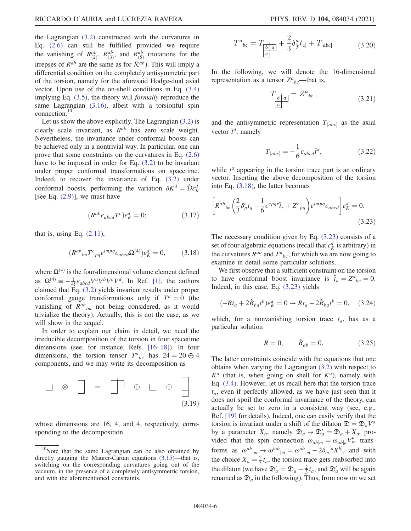the Lagrangian (3.2) constructed with the curvatures in Eq. (2.6) can still be fulfilled provided we require the vanishing of  $R_{(3)}^{ab}$ ,  $R_{(3)}^{ab}$ , and  $R_{(5)}^{ab}$  (notations for the irrepses of  $R^{ab}$  are the same as for  $\mathcal{R}^{ab}$ ). This will imply a differential condition on the completely antisymmetric part of the torsion, namely for the aforesaid Hodge-dual axial vector. Upon use of the on-shell conditions in Eq. (3.4) implying Eq. (3.5), the theory will formally reproduce the same Lagrangian (3.16), albeit with a torsionful spin connection.<sup>10</sup>

Let us show the above explicitly. The Lagrangian (3.2) is clearly scale invariant, as  $R^{ab}$  has zero scale weight. Nevertheless, the invariance under conformal boosts can be achieved only in a nontrivial way. In particular, one can prove that some constraints on the curvatures in Eq. (2.6) have to be imposed in order for Eq. (3.2) to be invariant under proper conformal transformations on spacetime. Indeed, to recover the invariance of Eq. (3.2) under conformal boosts, performing the variation  $\delta K^d = \hat{\mathcal{D}} \varepsilon_K^d$ <br>[see Eq. (2.9)] we must have [see Eq.  $(2.9)$ ], we must have

$$
(R^{ab}\epsilon_{abcd}T^c)\epsilon_K^d = 0;\t\t(3.17)
$$

that is, using Eq.  $(2.11)$ ,

$$
(R^{ab}{}_{lm}T^c{}_{pq}\epsilon^{lmpq}\epsilon_{abcd}\Omega^{(4)})\epsilon_K^d = 0,\qquad(3.18)
$$

where  $\Omega^{(4)}$  is the four-dimensional volume element defined as  $\Omega^{(4)} \equiv -\frac{1}{4!} \epsilon_{abcd} V^a V^b V^c V^d$ . In Ref. [1], the authors claimed that Eq. (3.2) yields invariant results under proper conformal gauge transformations only if  $T^a = 0$  (the vanishing of  $R^{ab}$ <sub>lm</sub> not being considered, as it would trivialize the theory). Actually, this is not the case, as we will show in the sequel.

In order to explain our claim in detail, we need the irreducible decomposition of the torsion in four spacetime dimensions (see, for instance, Refs. [16–18]). In four dimensions, the torsion tensor  $T^a{}_{bc}$  has  $24 = 20 \oplus 4$ <br>components and we may write its decomposition as components, and we may write its decomposition as



whose dimensions are 16, 4, and 4, respectively, corresponding to the decomposition

$$
T^{a}_{bc} = T_{\underbrace{\left[\stackrel{\circ}{b}\stackrel{\circ}{a}\right]}} + \frac{2}{3} \delta^{a}_{[b} t_{c]} + T_{[abc]} \,. \tag{3.20}
$$

In the following, we will denote the 16-dimensional representation as a tensor  $Z^a{}_{bc}$ —that is,

$$
T_{\overline{b|a} \atop c} = Z^a{}_{bc} \,, \tag{3.21}
$$

and the antisymmetric representation  $T_{[abc]}$  as the axial vector  $\tilde{t}^d$ , namely

$$
T_{[abc]} = -\frac{1}{6} \epsilon_{abcd} \tilde{t}^d, \qquad (3.22)
$$

while  $t^a$  appearing in the torsion trace part is an ordinary vector. Inserting the above decomposition of the torsion into Eq. (3.18), the latter becomes

$$
\left[ R^{ab}{}_{lm} \left( \frac{2}{3} \delta^c_p t_q - \frac{1}{6} \epsilon^{c p q r} \tilde{t}_r + Z^c{}_{pq} \right) \epsilon^{l m p q} \epsilon_{abcd} \right] e^d_K = 0.
$$
\n(3.23)

The necessary condition given by Eq. (3.23) consists of a set of four algebraic equations (recall that  $\varepsilon_K^d$  is arbitrary) in the curvatures  $R^{ab}$  and  $T^{a}_{bc}$ , for which we are now going to examine in detail some particular solutions.

We first observe that a sufficient constraint on the torsion to have conformal boost invariance is  $\tilde{t}_a = Z^a{}_{bc} = 0$ .<br>Indeed in this case Eq. (3.23) yields Indeed, in this case, Eq. (3.23) yields

$$
(-Rt_a + 2\breve{R}_{ba}t^b)\varepsilon_K^a = 0 \to Rt_a - 2\breve{R}_{ba}t^b = 0, \quad (3.24)
$$

which, for a nonvanishing torsion trace  $t_a$ , has as a particular solution

$$
R = 0,
$$
  $\check{R}_{ab} = 0.$  (3.25)

The latter constraints coincide with the equations that one obtains when varying the Lagrangian (3.2) with respect to  $K^a$  (that is, when going on shell for  $K^a$ ), namely with Eq. (3.4). However, let us recall here that the torsion trace  $t_a$ , even if perfectly allowed, as we have just seen that it does not spoil the conformal invariance of the theory, can actually be set to zero in a consistent way (see, e.g., Ref. [19] for details). Indeed, one can easily verify that the torsion is invariant under a shift of the dilaton  $\mathfrak{D} = \mathfrak{D}_a V^a$ by a parameter  $X_a$ , namely  $\mathfrak{D}_a \to \mathfrak{D}'_a = \mathfrak{D}_a + X_a$ , pro-<br>vided that the spin connection  $\omega_{\mathcal{M}} = \omega_{\mathcal{M}} V^{\mu}$  transvided that the spin connection  $\omega_{ab|m} = \omega_{ab|\mu} V_m^{\mu}$  transforms as  $\omega^{ab}{}_{|m} \rightarrow \omega'^{ab}{}_{|m} = \omega^{ab}{}_{|m} - 2\delta_m{}^{[a}X^{b]},$  and with the choice  $X_a = \frac{2}{3} t_a$ , the torsion trace gets reabsorbed into<br>the dilaton (we have  $\mathbb{S}' = \mathbb{S} + \frac{2}{3} t_a$  and  $\mathbb{S}'$  will be easing the dilaton (we have  $\mathfrak{D}'_a = \mathfrak{D}_a + \frac{2}{3}t_a$ , and  $\mathfrak{D}'_a$  will be again<br>renamed as  $\mathfrak{D}_a$  in the following). Thus, from now on we set renamed as  $\mathfrak{D}_a$  in the following). Thus, from now on we set

 $10$ Note that the same Lagrangian can be also obtained by directly gauging the Maurer-Cartan equations (3.15)—that is, switching on the corresponding curvatures going out of the vacuum, in the presence of a completely antisymmetric torsion, and with the aforementioned constraints.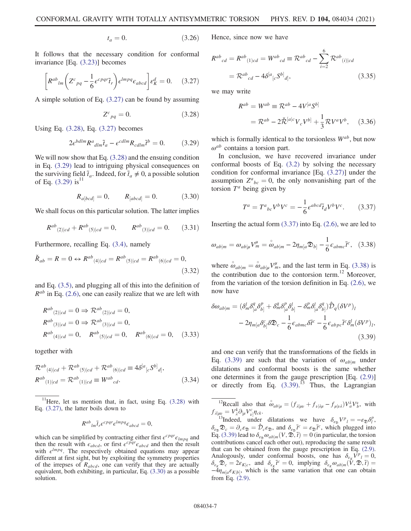$$
t_a = 0.\t(3.26)
$$

It follows that the necessary condition for conformal invariance [Eq. (3.23)] becomes

$$
\left[ R^{ab}{}_{lm} \left( Z^c{}_{pq} - \frac{1}{6} \epsilon^{c p q r} \tilde{t}_r \right) \epsilon^{l m p q} \epsilon_{abcd} \right] \epsilon_K^d = 0. \quad (3.27)
$$

A simple solution of Eq. (3.27) can be found by assuming

$$
Z^{c}{}_{pq} = 0. \tag{3.28}
$$

Using Eq. (3.28), Eq. (3.27) becomes

$$
2\epsilon^{bdlm} R^a{}_{dlm}\tilde{t}_a - \epsilon^{cdlm} R_{cdlm}\tilde{t}^b = 0. \tag{3.29}
$$

We will now show that Eq. (3.28) and the ensuing condition in Eq. (3.29) lead to intriguing physical consequences on the surviving field  $\tilde{t}_a$ . Indeed, for  $\tilde{t}_a \neq 0$ , a possible solution of Eq.  $(3.29)$  is<sup>11</sup>

$$
R_{a[bcd]} = 0,
$$
  $R_{[abcd]} = 0.$  (3.30)

We shall focus on this particular solution. The latter implies

$$
R^{ab}_{(2)|cd} + R^{ab}_{(5)|cd} = 0, \qquad R^{ab}_{(3)|cd} = 0. \qquad (3.31)
$$

Furthermore, recalling Eq. (3.4), namely

$$
\check{R}_{ab} = R = 0 \leftrightarrow R^{ab}{}_{(4)|cd} = R^{ab}{}_{(5)|cd} = R^{ab}{}_{(6)|cd} = 0,
$$
\n(3.32)

and Eq. (3.5), and plugging all of this into the definition of  $R^{ab}$  in Eq. (2.6), one can easily realize that we are left with

$$
R^{ab}_{(2)|cd} = 0 \Rightarrow \mathcal{R}^{ab}_{(2)|cd} = 0,
$$
  
\n
$$
R^{ab}_{(3)|cd} = 0 \Rightarrow \mathcal{R}^{ab}_{(3)|cd} = 0,
$$
  
\n
$$
R^{ab}_{(4)|cd} = 0, \quad R^{ab}_{(5)|cd} = 0, \quad R^{ab}_{(6)|cd} = 0, \quad (3.33)
$$

together with

$$
\mathcal{R}^{ab}{}_{(4)|cd} + \mathcal{R}^{ab}{}_{(5)|cd} + \mathcal{R}^{ab}{}_{(6)|cd} \equiv 4\delta^{[a}{}_{[c}S^{b]}{}_{d]},
$$
  
\n
$$
\mathcal{R}^{ab}{}_{(1)|cd} = \mathcal{R}^{ab}{}_{(1)|cd} \equiv W^{ab}{}_{cd}.
$$
\n(3.34)

<sup>11</sup>Here, let us mention that, in fact, using Eq.  $(3.28)$  with Eq. (3.27), the latter boils down to

$$
R^{ab}{}_{lm}\tilde{t}_r\epsilon^{c pqr}\epsilon^{lmpq}\epsilon_{abcd}=0,
$$

which can be simplified by contracting either first  $\epsilon^{c pqr} \epsilon_{lmpq}$  and then the result with  $\epsilon_{abcd}$ , or first  $\epsilon^{cpqr}\epsilon_{abcd}$  and then the result with  $\epsilon^{lmpq}$ . The respectively obtained equations may appear different at first sight, but by exploiting the symmetry properties of the irrepses of  $R_{abcd}$ , one can verify that they are actually equivalent, both exhibiting, in particular, Eq. (3.30) as a possible solution.

Hence, since now we have

$$
R^{ab}_{cd} = R^{ab}_{(1)cd} = W^{ab}_{cd} \equiv \mathcal{R}^{ab}_{cd} - \sum_{i=2}^{6} \mathcal{R}^{ab}_{(i)|cd}
$$

$$
= \mathcal{R}^{ab}_{cd} - 4\delta^{[a}_{[c}S^{b]}_{d]}, \qquad (3.35)
$$

we may write

$$
R^{ab} = W^{ab} \equiv \mathcal{R}^{ab} - 4V^{[a}S^{b]}
$$

$$
= \mathcal{R}^{ab} - 2\check{\mathcal{R}}^{[a]c}V_cV^{b]} + \frac{1}{3}\mathcal{R}V^{a}V^{b}, \quad (3.36)
$$

which is formally identical to the torsionless  $W^{ab}$ , but now  $\omega^{ab}$  contains a torsion part.

In conclusion, we have recovered invariance under conformal boosts of Eq. (3.2) by solving the necessary condition for conformal invariance [Eq. (3.27)] under the assumption  $Z^a{}_{bc} = 0$ , the only nonvanishing part of the torsion  $T^a$  being given by torsion  $T^a$  being given by

$$
T^a = T^a{}_{bc} V^b V^c = -\frac{1}{6} \epsilon^{abcd} \tilde{\tau}_d V^b V^c. \tag{3.37}
$$

Inserting the actual form  $(3.37)$  into Eq.  $(2.6)$ , we are led to

$$
\omega_{ab|m} = \omega_{ab|\mu} V_m^{\mu} = \overset{\circ}{\omega}_{ab|m} - 2\eta_{m[a}\mathfrak{D}_{b]} - \frac{1}{6}\epsilon_{abmc}\tilde{t}^c, \quad (3.38)
$$

where  $\hat{\omega}_{ab|m} = \hat{\omega}_{ab|\mu} V_m^{\mu}$ , and the last term in Eq. (3.38) is<br>the contribution due to the contension term <sup>12</sup> Moreover the contribution due to the contorsion term. $^{12}$  Moreover, from the variation of the torsion definition in Eq. (2.6), we now have

$$
\delta\omega_{ab|m} = (\delta^l_m \delta^q_{[a} \delta^p_{b]} + \delta^q_m \delta^p_{[a} \delta^l_{b]} - \delta^p_m \delta^l_{[a} \delta^q_{b]} ) \hat{\mathcal{D}}_q (\delta V^p)_l
$$
  

$$
- 2\eta_{m[a} \delta^c_{b]} \delta \mathfrak{D}_c - \frac{1}{6} \epsilon_{abmc} \delta \tilde{t}^c - \frac{1}{6} \epsilon_{abpc} \tilde{t}^c \delta^l_m (\delta V^p)_l,
$$
  
(3.39)

and one can verify that the transformations of the fields in Eq. (3.39) are such that the variation of  $\omega_{ab|m}$  under dilatations and conformal boosts is the same whether one determines it from the gauge prescription [Eq. (2.9)] or directly from Eq.  $(3.39)$ .<sup>13</sup> Thus, the Lagrangian

<sup>12</sup>Recall also that  $\omega_{ab|\mu} = (f_{\lambda|\mu\nu} + f_{\nu|\lambda\mu} - f_{\mu|\nu\lambda})V_a^{\lambda}V_b^{\nu}$ , with  $= V^k \partial_{\nu} V^{\varepsilon} \cdot n$ .  $f_{\lambda|\mu\nu} = V^k_{\lambda} \partial_{[\mu} V^c_{\nu]}$ <br><sup>13</sup>Indeed up

 $\mu_{\nu} = V_{\lambda}^{k} \partial_{\nu} V_{\nu}^{c} \eta_{ck}$ .<br>
<sup>13</sup>Indeed, under dilatations we have  $\delta_{\varepsilon_{\mathcal{D}}} V_{l} = -\varepsilon_{\mathcal{D}} \delta_{l}^{p}$ ,<br>  $\mathcal{D}_{\lambda} = \partial_{\lambda} \varepsilon_{\lambda} = \hat{\mathcal{D}}_{\lambda} \varepsilon_{\lambda}$  and  $\delta_{\lambda} \tilde{\mathcal{F}}_{\lambda}^{c} = \varepsilon_{\lambda} \tilde{\mathcal{F}}_{\lambda}^{c}$  $\delta_{\varepsilon_0} \mathfrak{D}_c = \partial_c \varepsilon_0 \mathfrak{D}_c \varepsilon_0$ , and  $\delta_{\varepsilon_0} \tilde{t}^c = \varepsilon_0 \tilde{t}^c$ , which plugged into Eq. (3.39) lead to  $\delta_c$ ,  $\omega_{\varepsilon_0}$  (*V*  $\tilde{\mathfrak{D}}$ ,  $\tilde{t}$ ) = 0 (in particular, the torsion Eq. (3.39) lead to  $\delta_{\varepsilon_{\mathcal{D}}} \omega_{ab|m}(V, \overline{\mathcal{D}}, \tilde{t}) = 0$  (in particular, the torsion contributions cancel each other out), reproducing the same result that can be obtained from the gauge prescription in Eq. (2.9). Analogously, under conformal boosts, one has  $\delta_{\varepsilon_K} \hat{V}^p{}_l = 0$ ,  $\delta_{\varepsilon_K} \hat{V}^p{}_l = 0$ ,  $\delta_{\varepsilon_K} \hat{V}^p{}_l = 0$ ,  $\delta_{\varepsilon_K} \hat{V}^p{}_l = 0$ ,  $\delta_{\varepsilon_K} \hat{V}^p{}_l = 0$ ,  $\delta_{\varepsilon_K} \hat{V}^p{}_l = 0$ ,  $\delta_{\varepsilon_K} \hat{V}^p{}_l = 0$ ,  $\delta_{\varepsilon_{\mathcal{K}}} \mathfrak{D}_c = 2\varepsilon_{K|c}$ , and  $\delta_{\varepsilon_{\mathcal{K}}} \tilde{t}^c = 0$ , implying  $\delta_{\varepsilon_{\mathcal{K}}} \omega_{ab|m}(\hat{V}, \mathfrak{D}, \tilde{t}) =$ <br>  $-4n$ ,  $\varepsilon_{\text{grav}}$ , which is the same variation that one can obtain  $-4\eta_{m[a} \varepsilon_{K[b]}$ , which is the same variation that one can obtain from Eq. (2.9).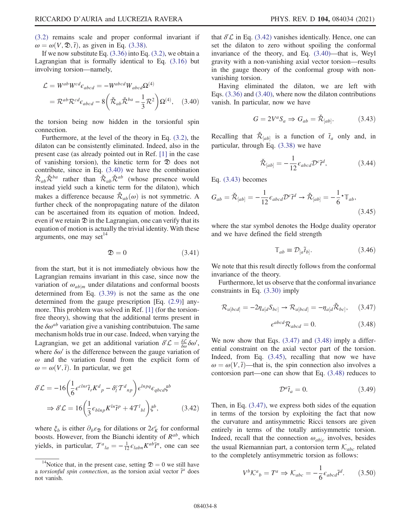(3.2) remains scale and proper conformal invariant if  $\omega = \omega(V, \mathfrak{D}, \tilde{t})$ , as given in Eq. (3.38).

If we now substitute Eq.  $(3.36)$  into Eq.  $(3.2)$ , we obtain a Lagrangian that is formally identical to Eq. (3.16) but involving torsion—namely,

$$
\mathcal{L} = W^{ab} W^{cd} \epsilon_{abcd} = -W^{abcd} W_{abcd} \Omega^{(4)}
$$

$$
= \mathcal{R}^{ab} \mathcal{R}^{cd} \epsilon_{abcd} - 8 \left( \check{\mathcal{R}}_{ab} \check{\mathcal{R}}^{ba} - \frac{1}{3} \mathcal{R}^2 \right) \Omega^{(4)}, \quad (3.40)
$$

the torsion being now hidden in the torsionful spin connection.

Furthermore, at the level of the theory in Eq. (3.2), the dilaton can be consistently eliminated. Indeed, also in the present case (as already pointed out in Ref. [1] in the case of vanishing torsion), the kinetic term for  $\mathfrak D$  does not contribute, since in Eq. (3.40) we have the combination  $\check{\mathcal{R}}_{ab}\check{\mathcal{R}}^{ba}$  rather than  $\check{\mathcal{R}}_{ab}\check{\mathcal{R}}^{ab}$  (whose presence would instead yield such a kinetic term for the dilaton), which makes a difference because  $\mathcal{R}_{ab}(\omega)$  is not symmetric. A further check of the nonpropagating nature of the dilaton can be ascertained from its equation of motion. Indeed, even if we retain  $\mathcal D$  in the Lagrangian, one can verify that its equation of motion is actually the trivial identity. With these arguments, one may set $14$ 

$$
\mathfrak{D} = 0 \tag{3.41}
$$

from the start, but it is not immediately obvious how the Lagrangian remains invariant in this case, since now the variation of  $\omega_{ab|m}$  under dilatations and conformal boosts determined from Eq. (3.39) is not the same as the one determined from the gauge prescription [Eq. (2.9)] anymore. This problem was solved in Ref. [1] (for the torsionfree theory), showing that the additional terms present in the  $\delta \omega^{ab}$  variation give a vanishing contributuion. The same mechanism holds true in our case. Indeed, when varying the Lagrangian, we get an additional variation  $\delta' \mathcal{L} = \frac{\delta \mathcal{L}}{\delta \omega} \delta \omega'$ ,<br>where  $\delta \omega'$  is the difference between the gauge variation of where  $\delta \omega'$  is the difference between the gauge variation of  $\omega$  and the variation found from the explicit form of  $\omega = \omega(V, \tilde{t})$ . In particular, we get

$$
\delta' \mathcal{L} = -16 \left( \frac{1}{6} \epsilon^{clnr} \tilde{t}_r K^d{}_p - \delta^c_l T^d{}_{np} \right) \epsilon^{lnpq} \epsilon_{qbcd} \xi^b
$$
  

$$
\Rightarrow \delta' \mathcal{L} = 16 \left( \frac{1}{3} \epsilon_{blnp} K^{ln} \tilde{t}^p + 4T^l{}_{bl} \right) \xi^b, \tag{3.42}
$$

where  $\xi_b$  is either  $\partial_b \varepsilon_{\mathfrak{D}}$  for dilations or  $2\varepsilon_K^c$  for conformal boosts. However, from the Bianchi identity of  $R^{ab}$ , which yields, in particular,  $T^a_{l} = -\frac{1}{12} \epsilon_{labn} K^{ab} \tilde{t}^n$ , one can see

that  $\delta\mathcal{L}$  in Eq. (3.42) vanishes identically. Hence, one can set the dilaton to zero without spoiling the conformal invariance of the theory, and Eq. (3.40)—that is, Weyl gravity with a non-vanishing axial vector torsion—results in the gauge theory of the conformal group with nonvanishing torsion.

Having eliminated the dilaton, we are left with Eqs. (3.36) and (3.40), where now the dilaton contributions vanish. In particular, now we have

$$
G = 2V^a S_a \Rightarrow G_{ab} = \mathcal{R}_{[ab]}.
$$
 (3.43)

Recalling that  $\check{\mathcal{R}}_{[ab]}$  is a function of  $\tilde{t}_a$  only and, in particular, through Eq. (3.38) we have

$$
\check{\mathcal{R}}_{[ab]} = -\frac{1}{12} \epsilon_{abcd} \mathcal{D}^c \tilde{\tau}^d,\tag{3.44}
$$

Eq. (3.43) becomes

$$
G_{ab} = \check{\mathcal{R}}_{[ab]} = -\frac{1}{12} \epsilon_{abcd} \mathcal{D}^c \tilde{t}^d \to \check{\mathcal{R}}_{[ab]} = -\frac{1}{6} \star \mathbb{T}_{ab},\tag{3.45}
$$

where the star symbol denotes the Hodge duality operator and we have defined the field strength

$$
\mathbb{T}_{ab} \equiv \mathcal{D}_{[a}\tilde{t}_{b]}.\tag{3.46}
$$

We note that this result directly follows from the conformal invariance of the theory.

Furthermore, let us observe that the conformal invariance constraints in Eq. (3.30) imply

$$
\mathcal{R}_{a[bcd]} = -2\eta_{a[d}S_{bc]} \rightarrow \mathcal{R}_{a[bcd]} = -\eta_{a[d}\check{\mathcal{R}}_{bc]}, \quad (3.47)
$$

$$
\epsilon^{abcd}\mathcal{R}_{abcd} = 0. \quad (3.48)
$$

We now show that Eqs.  $(3.47)$  and  $(3.48)$  imply a differential constraint on the axial vector part of the torsion. Indeed, from Eq. (3.45), recalling that now we have  $\omega = \omega(V, \tilde{t})$ —that is, the spin connection also involves a contorsion part—one can show that Eq. (3.48) reduces to

$$
\mathcal{D}^a \tilde{t}_a = 0. \tag{3.49}
$$

Then, in Eq. (3.47), we express both sides of the equation in terms of the torsion by exploiting the fact that now the curvature and antisymmetric Ricci tensors are given entirely in terms of the totally antisymmetric torsion. Indeed, recall that the connection  $\omega_{ab|c}$  involves, besides the usual Riemannian part, a contorsion term  $\mathcal{K}_{abc}$  related to the completely antisymmetric torsion as follows:

$$
V^{b} \mathcal{K}^{a}{}_{b} = T^{a} \Rightarrow \mathcal{K}_{abc} = -\frac{1}{6} \epsilon_{abcd} \tilde{t}^{d}.
$$
 (3.50)

<sup>&</sup>lt;sup>14</sup>Notice that, in the present case, setting  $\mathcal{D} = 0$  we still have a torsionful spin connection, as the torsion axial vector  $\tilde{t}^a$  does not vanish.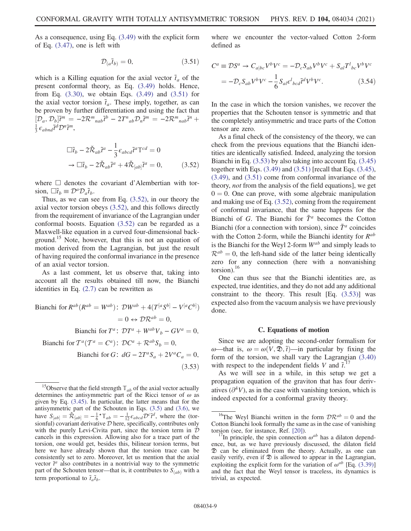As a consequence, using Eq. (3.49) with the explicit form of Eq. (3.47), one is left with

$$
\mathcal{D}_{(a}\tilde{t}_{b)} = 0, \tag{3.51}
$$

which is a Killing equation for the axial vector  $\tilde{t}_a$  of the present conformal theory, as Eq. (3.49) holds. Hence, from Eq. (3.30), we obtain Eqs. (3.49) and (3.51) for the axial vector torsion  $\tilde{t}_a$ . These imply, together, as can be proven by further differentiation and using the fact that  $[D_a, D_b]\tilde{t}^m = -2\mathcal{R}^m{}_{nab}\tilde{t}^b - 2T^{\bar{n}}{}_{ab}D_n\tilde{t}^m = -2\mathcal{R}^m{}_{nab}\tilde{t}^n$ þ  $\frac{1}{3} \epsilon_{abnd} \tilde{t}^d \mathcal{D}^n \tilde{t}^m$ ,

$$
\Box \tilde{t}_b - 2\tilde{\mathcal{R}}_{ab}\tilde{t}^a - \frac{1}{3}\epsilon_{abcd}\tilde{t}^a \mathbb{T}^{cd} = 0
$$
  

$$
\rightarrow \Box \tilde{t}_b - 2\tilde{\mathcal{R}}_{ab}\tilde{t}^a + 4\tilde{\mathcal{R}}_{[ab]}\tilde{t}^a = 0,
$$
 (3.52)

where □ denotes the covariant d'Alembertian with torsion,  $\Box \tilde{t}_b \equiv \mathcal{D}^a \mathcal{D}_a \tilde{t}_b$ .

Thus, as we can see from Eq. (3.52), in our theory the axial vector torsion obeys (3.52), and this follows directly from the requirement of invariance of the Lagrangian under conformal boosts. Equation (3.52) can be regarded as a Maxwell-like equation in a curved four-dimensional background.<sup>15</sup> Note, however, that this is not an equation of motion derived from the Lagrangian, but just the result of having required the conformal invariance in the presence of an axial vector torsion.

As a last comment, let us observe that, taking into account all the results obtained till now, the Bianchi identities in Eq.  $(2.7)$  can be rewritten as

Bianchi for 
$$
R^{ab}(R^{ab} = W^{ab})
$$
:

\n
$$
D^{ab} + 4(T^{[a}S^{b]} - V^{[a}C^{b]})
$$
\n
$$
= 0 \leftrightarrow \mathcal{D}R^{ab} = 0,
$$
\nBianchi for  $T^a$ :

\n
$$
\mathcal{D}T^a + W^{ab}V_b - GV^a = 0,
$$
\nBianchi for  $T^a(T^a = C^a)$ :

\n
$$
\mathcal{D}C^a + R^{ab}S_b = 0,
$$

Bianchi for G:  $dG - 2T^aS_a + 2V^aC_a = 0$ ,  $(3.53)$  where we encounter the vector-valued Cotton 2-form defined as

$$
C^{a} \equiv \mathcal{D}S^{a} \to C_{a|bc}V^{b}V^{c} = -\mathcal{D}_{c}S_{ab}V^{b}V^{c} + S_{al}T^{l}{}_{bc}V^{b}V^{c}
$$

$$
= -\mathcal{D}_{c}S_{ab}V^{b}V^{c} - \frac{1}{6}S_{al}\epsilon^{l}{}_{bcd}\tilde{t}^{d}V^{b}V^{c}.
$$
(3.54)

In the case in which the torsion vanishes, we recover the properties that the Schouten tensor is symmetric and that the completely antisymmetric and trace parts of the Cotton tensor are zero.

As a final check of the consistency of the theory, we can check from the previous equations that the Bianchi identities are identically satisfied. Indeed, analyzing the torsion Bianchi in Eq. (3.53) by also taking into account Eq. (3.45) together with Eqs. (3.49) and (3.51) [recall that Eqs. (3.45), (3.49), and (3.51) come from conformal invariance of the theory, not from the analysis of the field equations], we get  $0 = 0$ . One can prove, with some algebraic manipulation and making use of Eq. (3.52), coming from the requirement of conformal invariance, that the same happens for the Bianchi of G. The Bianchi for  $\tilde{T}^a$  becomes the Cotton Bianchi (for a connection with torsion), since  $\tilde{T}^a$  coincides with the Cotton 2-form, while the Bianchi identity for  $R^{ab}$ is the Bianchi for the Weyl 2-form  $W^{ab}$  and simply leads to  $\mathcal{R}^{ab} = 0$ , the left-hand side of the latter being identically zero for any connection (here with a nonvanishing torsion). $16$ 

One can thus see that the Bianchi identities are, as expected, true identities, and they do not add any additional constraint to the theory. This result [Eq. (3.53)] was expected also from the vacuum analysis we have previously done.

#### C. Equations of motion

Since we are adopting the second-order formalism for ω—that is,  $ω = ω(V, Σ, t)$ —in particular by fixing the form of the torsion, we shall vary the Lagrangian (3.40) with respect to the independent fields V and  $\tilde{t}$ <sup>17</sup>

As we will see in a while, in this setup we get a propagation equation of the graviton that has four derivatives  $(\partial^4 V)$ , as in the case with vanishing torsion, which is indeed expected for a conformal gravity theory.

<sup>&</sup>lt;sup>15</sup>Observe that the field strength  $\mathbb{T}_{ab}$  of the axial vector actually determines the antisymmetric part of the Ricci tensor of  $\omega$  as given by Eq. (3.45). In particular, the latter means that for the antisymmetric part of the Schouten in Eqs. (3.5) and (3.6), we have  $S_{[ab]} = \dot{\mathcal{K}}_{[ab]} = -\frac{1}{6} \times \mathbb{T}_{ab} = -\frac{1}{12} \epsilon_{abc} \Omega^c \tilde{\mathcal{L}}^d$ , where the (tor-<br>sionful) covariant derivative  $\mathcal{D}$  here specifically contributes only sionful) covariant derivative  $D$  here, specifically, contributes only with the purely Levi-Civita part, since the torsion term in  $\mathcal D$ cancels in this expression. Allowing also for a trace part of the torsion, one would get, besides this, bilinear torsion terms, but here we have already shown that the torsion trace can be consistently set to zero. Moreover, let us mention that the axial vector  $\tilde{t}^a$  also contributes in a nontrivial way to the symmetric part of the Schouten tensor—that is, it contributes to  $S_{(ab)}$  with a term proportional to  $\tilde{t}_a \tilde{t}_b$ .

<sup>&</sup>lt;sup>16</sup>The Weyl Bianchi written in the form  $\mathcal{D}\mathcal{R}^{ab} = 0$  and the Cotton Bianchi look formally the same as in the case of vanishing

<sup>&</sup>lt;sup>17</sup>In principle, the spin connection  $\omega^{ab}$  has a dilaton dependence, but, as we have previously discussed, the dilaton field D can be eliminated from the theory. Actually, as one can easily verify, even if  $\mathcal D$  is allowed to appear in the Lagrangian, exploiting the explicit form for the variation of  $\omega^{ab}$  [Eq. (3.39)] and the fact that the Weyl tensor is traceless, its dynamics is trivial, as expected.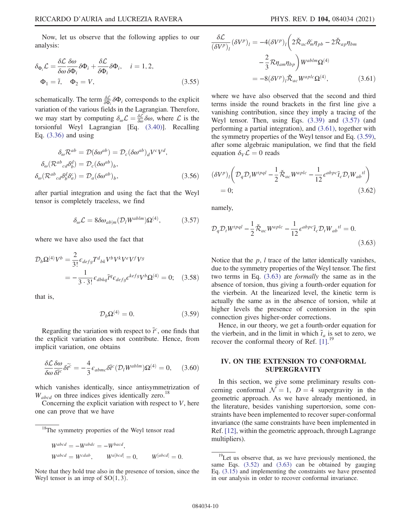Now, let us observe that the following applies to our analysis:

$$
\delta_{\Phi_i} \mathcal{L} = \frac{\delta \mathcal{L}}{\delta \omega} \frac{\delta \omega}{\delta \Phi_i} \delta \Phi_i + \frac{\delta \mathcal{L}}{\delta \Phi_i} \delta \Phi_i, \quad i = 1, 2,
$$
  

$$
\Phi_1 = \tilde{t}, \quad \Phi_2 = V,
$$
 (3.55)

schematically. The term  $\frac{\delta \mathcal{L}}{\delta \Phi_i} \delta \Phi_i$  corresponds to the explicit variation of the various fields in the Lagrangian. Therefore, we may start by computing  $\delta_{\omega} \mathcal{L} = \frac{\delta \mathcal{L}}{\delta \omega} \delta \omega$ , where  $\mathcal{L}$  is the torsionful Wayl, Lagrangian, Eq. (3.40)]. Becalling torsionful Weyl Lagrangian [Eq. (3.40)]. Recalling Eq. (3.36) and using

$$
\delta_{\omega} \mathcal{R}^{ab} = \mathcal{D}(\delta \omega^{ab}) = \mathcal{D}_{c} (\delta \omega^{ab})_{d} V^{c} V^{d},
$$

$$
\delta_{\omega} (\mathcal{R}^{ab}_{cd} \delta^{d}_{b}) = \mathcal{D}_{c} (\delta \omega^{ab})_{b},
$$

$$
\delta_{\omega} (\mathcal{R}^{ab}_{cd} \delta^{d}_{b} \delta^{c}_{a}) = \mathcal{D}_{a} (\delta \omega^{ab})_{b},
$$
(3.56)

after partial integration and using the fact that the Weyl tensor is completely traceless, we find

$$
\delta_{\omega} \mathcal{L} = 8 \delta \omega_{ab|m} (\mathcal{D}_l W^{ablm}) \Omega^{(4)}, \tag{3.57}
$$

where we have also used the fact that

$$
\mathcal{D}_b \Omega^{(4)} V^b = \frac{2}{3!} \epsilon_{defg} T^d{}_{bk} V^b V^k V^e V^f V^g
$$
  
= 
$$
-\frac{1}{3 \cdot 3!} \epsilon_{dbkq} \tilde{t}^q \epsilon_{defg} \epsilon^{kefg} V^b \Omega^{(4)} = 0; \quad (3.58)
$$

that is,

$$
\mathcal{D}_b \Omega^{(4)} = 0. \tag{3.59}
$$

Regarding the variation with respect to  $\tilde{t}^c$ , one finds that the explicit variation does not contribute. Hence, from implicit variation, one obtains

$$
\frac{\delta \mathcal{L}}{\delta \omega} \frac{\delta \omega}{\delta \tilde{t}^c} \delta \tilde{t}^c = -\frac{4}{3} \epsilon_{abmc} \delta \tilde{t}^c (\mathcal{D}_l W^{ablm}) \Omega^{(4)} = 0, \quad (3.60)
$$

which vanishes identically, since antisymmetrization of  $W_{abcd}$  on three indices gives identically zero.<sup>18</sup>

Concerning the explicit variation with respect to  $V$ , here one can prove that we have

$$
W^{abcd} = -W^{abdc} = -W^{bacd},
$$
  
\n
$$
W^{abcd} = W^{c dab}, \qquad W^{a[bcd]} = 0, \qquad W^{[abcd]} = 0.
$$

Note that they hold true also in the presence of torsion, since the Weyl tensor is an irrep of  $SO(1, 3)$ .

$$
\frac{\delta \mathcal{L}}{(\delta V^p)_l} (\delta V^p)_l = -4(\delta V^p)_l \left( 2 \tilde{\mathcal{R}}_{ac} \delta^c_m \eta_{pb} - 2 \tilde{\mathcal{R}}_{ap} \eta_{bm} \right)
$$

$$
- \frac{2}{3} \mathcal{R} \eta_{am} \eta_{bp} \right) W^{ablm} \Omega^{(4)}
$$

$$
= -8(\delta V^p)_l \tilde{\mathcal{R}}_{ac} W^{aplc} \Omega^{(4)}, \qquad (3.61)
$$

where we have also observed that the second and third terms inside the round brackets in the first line give a vanishing contribution, since they imply a tracing of the Weyl tensor. Then, using Eqs. (3.39) and (3.57) (and performing a partial integration), and (3.61), together with the symmetry properties of the Weyl tensor and Eq. (3.59), after some algebraic manipulation, we find that the field equation  $\delta_V \mathcal{L} = 0$  reads

$$
(\delta V^{p})_{l} \left( \mathcal{D}_{q} \mathcal{D}_{t} W^{tpql} - \frac{1}{2} \check{\mathcal{R}}_{ac} W^{aplc} - \frac{1}{12} \epsilon^{abpc} \tilde{t}_{c} \mathcal{D}_{t} W_{ab}{}^{tl} \right)
$$
  
= 0; (3.62)

namely,

$$
\mathcal{D}_q \mathcal{D}_t W^{t p q l} - \frac{1}{2} \check{\mathcal{R}}_{ac} W^{a p l c} - \frac{1}{12} \epsilon^{a b p c} \tilde{t}_c \mathcal{D}_t W_{ab}{}^{l l} = 0.
$$
\n(3.63)

Notice that the  $p$ ,  $l$  trace of the latter identically vanishes, due to the symmetry properties of the Weyl tensor. The first two terms in Eq. (3.63) are formally the same as in the absence of torsion, thus giving a fourth-order equation for the vierbein. At the linearized level, the kinetic term is actually the same as in the absence of torsion, while at higher levels the presence of contorsion in the spin connection gives higher-order corrections.

Hence, in our theory, we get a fourth-order equation for the vierbein, and in the limit in which  $\tilde{t}_a$  is set to zero, we recover the conformal theory of Ref.  $\left[1\right]$ .<sup>19</sup>

## IV. ON THE EXTENSION TO CONFORMAL SUPERGRAVITY

In this section, we give some preliminary results concerning conformal  $\mathcal{N} = 1$ ,  $D = 4$  supergravity in the geometric approach. As we have already mentioned, in the literature, besides vanishing supertorsion, some constraints have been implemented to recover super-conformal invariance (the same constraints have been implemented in Ref. [12], within the geometric approach, through Lagrange multipliers).

<sup>&</sup>lt;sup>18</sup>The symmetry properties of the Weyl tensor read

<sup>&</sup>lt;sup>19</sup>Let us observe that, as we have previously mentioned, the same Eqs. (3.52) and (3.63) can be obtained by gauging Eq.  $(3.15)$  and implementing the constraints we have presented in our analysis in order to recover conformal invariance.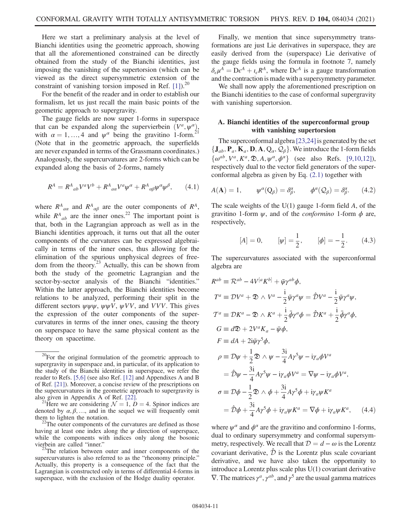Here we start a preliminary analysis at the level of Bianchi identities using the geometric approach, showing that all the aforementioned constrained can be directly obtained from the study of the Bianchi identities, just imposing the vanishing of the supertorsion (which can be viewed as the direct supersymmetric extension of the constraint of vanishing torsion imposed in Ref.  $[1]$ .<sup>20</sup>

For the benefit of the reader and in order to establish our formalism, let us just recall the main basic points of the geometric approach to supergravity.

The gauge fields are now super 1-forms in superspace that can be expanded along the supervierbein  $(V^a, \psi^a)$ , with  $\alpha = 1, ..., 4$  and  $\psi^{\alpha}$  being the gravitino 1-form.<sup>2</sup> (Note that in the geometric approach, the superfields are never expanded in terms of the Grassmann coordinates.) Analogously, the supercurvatures are 2-forms which can be expanded along the basis of 2-forms, namely

$$
R^A = R^A{}_{ab} V^a V^b + R^A{}_{aa} V^a \psi^\alpha + R^A{}_{\alpha\beta} \psi^\alpha \psi^\beta, \qquad (4.1)
$$

where  $R^{A}_{a\alpha}$  and  $R^{A}_{\alpha\beta}$  are the outer components of  $R^{A}$ , while  $R_{ab}^A$  are the inner ones.<sup>22</sup> The important point is that, both in the Lagrangian approach as well as in the Bianchi identities approach, it turns out that all the outer components of the curvatures can be expressed algebraically in terms of the inner ones, thus allowing for the elimination of the spurious unphysical degrees of freedom from the theory.<sup>23</sup> Actually, this can be shown from both the study of the geometric Lagrangian and the sector-by-sector analysis of the Bianchi "identities." Within the latter approach, the Bianchi identities become relations to be analyzed, performing their split in the different sectors  $\psi \psi \psi$ ,  $\psi \psi V$ ,  $\psi VV$ , and VVV. This gives the expression of the outer components of the supercurvatures in terms of the inner ones, causing the theory on superspace to have the same physical content as the theory on spacetime.

Finally, we mention that since supersymmetry transformations are just Lie derivatives in superspace, they are easily derived from the (superspace) Lie derivative of the gauge fields using the formula in footnote 7, namely  $\delta_{\epsilon}\mu^{A} = D\epsilon^{A} + i_{\epsilon}R^{A}$ , where  $D\epsilon^{A}$  is a gauge transformation and the contraction is made with a supersymmetry parameter.

We shall now apply the aforementioned prescription on the Bianchi identities to the case of conformal supergravity with vanishing supertorsion.

## A. Bianchi identities of the superconformal group with vanishing supertorsion

The superconformal algebra [23,24] is generated by the set  $\{J_{ab}, P_a, K_a, D, A, Q_\alpha, Q_\beta\}$ . We introduce the 1-form fields  $\{\omega^{ab}, V^a, K^a, \mathfrak{D}, A, \psi^a, \phi^a\}$  (see also Refs. [9,10,12]), respectively dual to the vector field generators of the superconformal algebra as given by Eq. (2.1) together with

$$
A(\mathbf{A}) = 1, \qquad \psi^{\alpha}(\mathbf{Q}_{\beta}) = \delta^{\alpha}_{\beta}, \qquad \phi^{\alpha}(\mathbf{Q}_{\beta}) = \delta^{\alpha}_{\beta}. \tag{4.2}
$$

The scale weights of the  $U(1)$  gauge 1-form field A, of the gravitino 1-form  $\psi$ , and of the *conformino* 1-form  $\phi$  are, respectively,

$$
[A] = 0,
$$
  $[\psi] = \frac{1}{2},$   $[\phi] = -\frac{1}{2}.$  (4.3)

The supercurvatures associated with the superconformal algebra are

$$
R^{ab} \equiv \mathcal{R}^{ab} - 4V^{[a}K^{b]} + \bar{\psi}\gamma^{ab}\phi,
$$
  
\n
$$
T^{a} \equiv \mathcal{D}V^{a} + \mathfrak{D} \wedge V^{a} - \frac{i}{2}\bar{\psi}\gamma^{a}\psi = \hat{\mathcal{D}}V^{a} - \frac{i}{2}\bar{\psi}\gamma^{a}\psi,
$$
  
\n
$$
\mathcal{T}^{a} \equiv \mathcal{D}K^{a} - \mathfrak{D} \wedge K^{a} + \frac{i}{2}\bar{\phi}\gamma^{a}\phi = \hat{\mathcal{D}}K^{a} + \frac{i}{2}\bar{\phi}\gamma^{a}\phi,
$$
  
\n
$$
G \equiv d\mathfrak{D} + 2V^{a}K_{a} - \bar{\psi}\phi,
$$
  
\n
$$
F \equiv dA + 2i\bar{\psi}\gamma^{5}\phi,
$$
  
\n
$$
\rho \equiv \mathcal{D}\psi + \frac{1}{2}\mathfrak{D} \wedge \psi - \frac{3i}{4}A\gamma^{5}\psi - i\gamma_{a}\phi V^{a}
$$
  
\n
$$
= \hat{\mathcal{D}}\psi - \frac{3i}{4}A\gamma^{5}\psi - i\gamma_{a}\phi V^{a} = \nabla\psi - i\gamma_{a}\phi V^{a},
$$
  
\n
$$
\sigma \equiv \mathcal{D}\phi - \frac{1}{2}\mathfrak{D} \wedge \phi + \frac{3i}{4}A\gamma^{5}\phi + i\gamma_{a}\psi K^{a}
$$
  
\n
$$
= \hat{\mathcal{D}}\phi + \frac{3i}{4}A\gamma^{5}\phi + i\gamma_{a}\psi K^{a} = \nabla\phi + i\gamma_{a}\psi K^{a}, \quad (4.4)
$$

where  $\psi^{\alpha}$  and  $\phi^{\alpha}$  are the gravitino and conformino 1-forms, dual to ordinary supersymmetry and conformal supersymmetry, respectively. We recall that  $D = d - \omega$  is the Lorentz covariant derivative,  $\hat{\mathcal{D}}$  is the Lorentz plus scale covariant derivative, and we have also taken the opportunity to introduce a Lorentz plus scale plus U(1) covariant derivative  $\nabla$ . The matrices  $\gamma^a$ ,  $\gamma^{ab}$ , and  $\gamma^5$  are the usual gamma matrices

 $20$ For the original formulation of the geometric approach to supergravity in superspace and, in particular, of its application to the study of the Bianchi identities in superspace, we refer the reader to Refs. [5,6] (see also Ref. [12] and Appendixes A and B of Ref. [21]). Moreover, a concise review of the prescriptions on the supercurvatures in the geometric approach to supergravity is also given in Appendix A of Ref. [22].<br><sup>21</sup>Here we are considering  $\mathcal{N} = 1$ ,  $D = 4$ . Spinor indices are

denoted by  $\alpha, \beta, \ldots$ , and in the sequel we will frequently omit them to lighten the notation.<br><sup>22</sup>The outer components of the curvatures are defined as those

having at least one index along the  $\psi$  direction of superspace, while the components with indices only along the bosonic vierbein are called "inner."  $23$ The relation between outer and inner components of the

supercurvatures is also referred to as the "rheonomy principle." Actually, this property is a consequence of the fact that the Lagrangian is constructed only in terms of differential 4-forms in superspace, with the exclusion of the Hodge duality operator.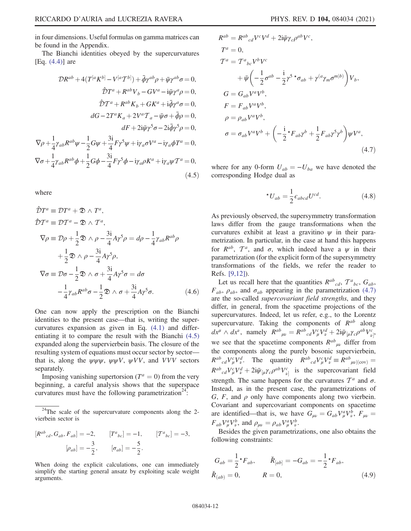in four dimensions. Useful formulas on gamma matrices can be found in the Appendix.

The Bianchi identities obeyed by the supercurvatures  $[Eq. (4.4)]$  are

$$
\mathcal{D}R^{ab} + 4(T^{[a}K^{b]} - V^{[a}T^{b]}) + \bar{\phi}\gamma^{ab}\rho + \bar{\psi}\gamma^{ab}\sigma = 0,
$$
  
\n
$$
\hat{D}T^{a} + R^{ab}V_{b} - GV^{a} - i\bar{\psi}\gamma^{a}\rho = 0,
$$
  
\n
$$
\hat{D}T^{a} + R^{ab}K_{b} + GK^{a} + i\bar{\phi}\gamma^{a}\sigma = 0,
$$
  
\n
$$
dG - 2T^{a}K_{a} + 2V^{a}T_{a} - \bar{\psi}\sigma + \bar{\phi}\rho = 0,
$$
  
\n
$$
dF + 2i\bar{\psi}\gamma^{5}\sigma - 2i\bar{\phi}\gamma^{5}\rho = 0,
$$
  
\n
$$
\nabla\rho + \frac{1}{4}\gamma_{ab}R^{ab}\psi - \frac{1}{2}G\psi + \frac{3i}{4}F\gamma^{5}\psi + i\gamma_{a}\sigma V^{a} - i\gamma_{a}\phi T^{a} = 0,
$$
  
\n
$$
\nabla\sigma + \frac{1}{4}\gamma_{ab}R^{ab}\phi + \frac{1}{2}G\phi - \frac{3i}{4}F\gamma^{5}\phi - i\gamma_{a}\rho K^{a} + i\gamma_{a}\psi T^{a} = 0,
$$
  
\n(4.5)

where

$$
\hat{D}T^{a} \equiv DT^{a} + \mathfrak{D} \wedge T^{a},
$$
\n
$$
\hat{D}T^{a} \equiv DT^{a} - \mathfrak{D} \wedge T^{a},
$$
\n
$$
\nabla \rho \equiv \mathcal{D}\rho + \frac{1}{2} \mathfrak{D} \wedge \rho - \frac{3i}{4} A \gamma^{5} \rho = d\rho - \frac{1}{4} \gamma_{ab} R^{ab} \rho
$$
\n
$$
+ \frac{1}{2} \mathfrak{D} \wedge \rho - \frac{3i}{4} A \gamma^{5} \rho,
$$
\n
$$
\nabla \sigma \equiv \mathcal{D}\sigma - \frac{1}{2} \mathfrak{D} \wedge \sigma + \frac{3i}{4} A \gamma^{5} \sigma = d\sigma
$$
\n
$$
- \frac{1}{4} \gamma_{ab} R^{ab} \sigma - \frac{1}{2} \mathfrak{D} \wedge \sigma + \frac{3i}{4} A \gamma^{5} \sigma.
$$
\n(4.6)

One can now apply the prescription on the Bianchi identities to the present case—that is, writing the supercurvatures expansion as given in Eq. (4.1) and differentiating it to compare the result with the Bianchi (4.5) expanded along the supervierbein basis. The closure of the resulting system of equations must occur sector by sector that is, along the  $\psi \psi \psi$ ,  $\psi \psi V$ ,  $\psi VV$ , and VVV sectors separately.

Imposing vanishing supertorsion ( $T^a = 0$ ) from the very beginning, a careful analysis shows that the superspace curvatures must have the following parametrization<sup>24</sup>:

$$
[R^{ab}{}_{cd}, G_{ab}, F_{ab}] = -2, \qquad [T^{a}{}_{bc}] = -1, \qquad [T^{a}{}_{bc}] = -3,
$$

$$
[\rho_{ab}] = -\frac{3}{2}, \qquad [\sigma_{ab}] = -\frac{5}{2}.
$$

When doing the explicit calculations, one can immediately simplify the starting general ansatz by exploiting scale weight arguments.

$$
R^{ab} = R^{ab}{}_{cd}V^{c}V^{d} + 2i\bar{\psi}\gamma_{c}\rho^{ab}V^{c},
$$
  
\n
$$
T^{a} = 0,
$$
  
\n
$$
T^{a} = T^{a}{}_{bc}V^{b}V^{c}
$$
  
\n
$$
+ \bar{\psi}\left(-\frac{1}{2}\sigma^{ab} - \frac{i}{2}\gamma^{5}\right) \sigma_{ab} + \gamma^{(a}\gamma_{m}\sigma^{m|b)}\right)V_{b},
$$
  
\n
$$
G = G_{ab}V^{a}V^{b},
$$
  
\n
$$
\rho = \rho_{ab}V^{a}V^{b},
$$
  
\n
$$
\rho = \rho_{ab}V^{a}V^{b},
$$
  
\n
$$
\sigma = \sigma_{ab}V^{a}V^{b} + \left(-\frac{i}{2}\right) \sigma_{ab}\gamma^{b} + \frac{1}{2}F_{ab}\gamma^{5}\gamma^{b}\right)\psi V^{a},
$$
  
\n(4.7)

where for any 0-form  $U_{ab} = -U_{ba}$  we have denoted the corresponding Hodge dual as

$$
{}^{\star}U_{ab} = \frac{1}{2} \epsilon_{abcd} U^{cd}.
$$
 (4.8)

As previously observed, the supersymmetry transformation laws differ from the gauge transformations when the curvatures exhibit at least a gravitino  $\psi$  in their parametrization. In particular, in the case at hand this happens for  $R^{ab}$ ,  $T^a$ , and  $\sigma$ , which indeed have a  $\psi$  in their parametrization (for the explicit form of the supersymmetry transformations of the fields, we refer the reader to Refs. [9,12]).

Let us recall here that the quantities  $R^{ab}_{cd}$ ,  $T^{a}_{bc}$ ,  $G_{ab}$ ,  $F_{ab}$ ,  $\rho_{ab}$ , and  $\sigma_{ab}$  appearing in the parametrization (4.7) are the so-called supercovariant field strengths, and they differ, in general, from the spacetime projections of the supercurvatures. Indeed, let us refer, e.g., to the Lorentz supercurvature. Taking the components of  $R^{ab}$  along  $dx^{\mu} \wedge dx^{\nu}$ , namely  $R^{ab}_{\mu\nu} = R^{ab}_{\ \ cd}V^{c}_{\mu}V^{d}_{\nu} + 2i\bar{\psi}_{\mu}\gamma_{c}\rho^{ab}V^{c}_{\nu}$ we see that the spacetime components  $R^{ab}{}_{\mu\nu}$  differ from the components along the purely bosonic supervierbein,  $R^{ab}_{\ \ \ \alpha} V^c_{\mu} V^d_{\nu}$ . The quantity  $R^{ab}_{\ \ \ \alpha} V^c_{\mu} V^d_{\nu} \equiv R^{ab}_{\ \ \ \ \mu\nu|(\text{cov})} =$  $R^{ab}_{\mu}dV^{d}_{\mu} + 2i\bar{\psi}_{\mu}\gamma_{c}\rho^{ab}V^{c}_{\nu}$  is the supercovariant field strength. The same happens for the curvatures  $\mathcal{T}^a$  and  $\sigma$ . Instead, as in the present case, the parametrizations of G, F, and  $\rho$  only have components along two vierbein. Covariant and supercovariant components on spacetime are identified—that is, we have  $G_{\mu\nu} = G_{ab} V^a_{\mu} V^b_{\nu}$ ,  $F_{\mu\nu} =$  $F_{ab}V^a_\mu V^b_\nu$ , and  $\rho_{\mu\nu} = \rho_{ab}V^a_\mu V^b_\nu$ .<br>Besides the given parametrize

Besides the given parametrizations, one also obtains the following constraints:

$$
G_{ab} = \frac{1}{2} \star F_{ab}, \qquad \check{R}_{[ab]} = -G_{ab} = -\frac{1}{2} \star F_{ab},
$$
  

$$
\check{R}_{(ab)} = 0, \qquad R = 0,
$$
 (4.9)

 $24$ The scale of the supercurvature components along the 2vierbein sector is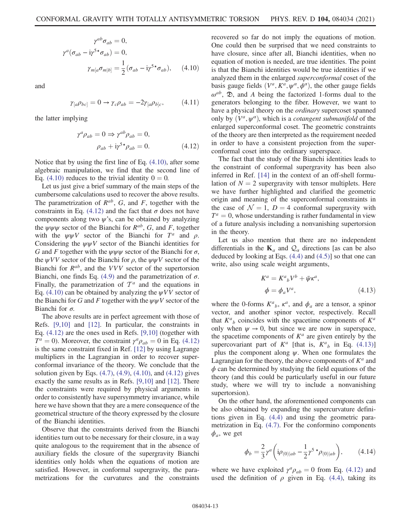$$
\gamma^{ab}\sigma_{ab} = 0,
$$
  
\n
$$
\gamma^{a}(\sigma_{ab} - i\gamma^{5*}\sigma_{ab}) = 0,
$$
  
\n
$$
\gamma_{m[a}\sigma_{m[b]} = \frac{1}{2}(\sigma_{ab} - i\gamma^{5*}\sigma_{ab}), \quad (4.10)
$$

and

$$
\gamma_{[a}\rho_{bc]} = 0 \to \gamma_c \rho_{ab} = -2\gamma_{[a}\rho_{b]c}, \qquad (4.11)
$$

the latter implying

$$
\gamma^{a} \rho_{ab} = 0 \Rightarrow \gamma^{ab} \rho_{ab} = 0,
$$
  

$$
\rho_{ab} + i \gamma^{5 \star} \rho_{ab} = 0.
$$
 (4.12)

Notice that by using the first line of Eq. (4.10), after some algebraic manipulation, we find that the second line of Eq. (4.10) reduces to the trivial identity  $0 = 0$ .

Let us just give a brief summary of the main steps of the cumbersome calculations used to recover the above results. The parametrization of  $R^{ab}$ , G, and F, together with the constraints in Eq. (4.12) and the fact that  $\sigma$  does not have components along two  $\psi$ 's, can be obtained by analyzing the  $\psi \psi \psi$  sector of the Bianchi for  $R^{ab}$ , G, and F, together with the  $\psi \psi V$  sector of the Bianchi for  $T^a$  and  $\rho$ . Considering the  $\psi \psi V$  sector of the Bianchi identities for G and F together with the  $\psi \psi \psi$  sector of the Bianchi for  $\sigma$ , the  $\psi VV$  sector of the Bianchi for  $\rho$ , the  $\psi \psi V$  sector of the Bianchi for  $R^{ab}$ , and the VVV sector of the supertorsion Bianchi, one finds Eq. (4.9) and the parametrization of  $\sigma$ . Finally, the parametrization of  $\mathcal{T}^a$  and the equations in Eq. (4.10) can be obtained by analyzing the  $\psi VV$  sector of the Bianchi for G and F together with the  $\psi \psi V$  sector of the Bianchi for  $\sigma$ .

The above results are in perfect agreement with those of Refs. [9,10] and [12]. In particular, the constraints in Eq. (4.12) are the ones used in Refs. [9,10] (together with  $T^a = 0$ ). Moreover, the constraint  $\gamma^a \rho_{ab} = 0$  in Eq. (4.12) is the same constraint fixed in Ref. [12] by using Lagrange multipliers in the Lagrangian in order to recover superconformal invariance of the theory. We conclude that the solution given by Eqs.  $(4.7)$ ,  $(4.9)$ ,  $(4.10)$ , and  $(4.12)$  gives exactly the same results as in Refs. [9,10] and [12]. There the constraints were required by physical arguments in order to consistently have supersymmetry invariance, while here we have shown that they are a mere consequence of the geometrical structure of the theory expressed by the closure of the Bianchi identities.

Observe that the constraints derived from the Bianchi identities turn out to be necessary for their closure, in a way quite analogous to the requirement that in the absence of auxiliary fields the closure of the supergravity Bianchi identities only holds when the equations of motion are satisfied. However, in conformal supergravity, the parametrizations for the curvatures and the constraints recovered so far do not imply the equations of motion. One could then be surprised that we need constraints to have closure, since after all, Bianchi identities, when no equation of motion is needed, are true identities. The point is that the Bianchi identities would be true identities if we analyzed them in the enlarged superconformal coset of the basis gauge fields  $(V^a, K^a, \psi^a, \phi^a)$ , the other gauge fields  $\omega^{ab}$ ,  $\mathfrak{D}$ , and A being the factorized 1-forms dual to the generators belonging to the fiber. However, we want to have a physical theory on the ordinary supercoset spanned only by  $(V^a, \psi^a)$ , which is a *cotangent submanifold* of the enlarged superconformal coset. The geometric constraints of the theory are then interpreted as the requirement needed in order to have a consistent projection from the superconformal coset into the ordinary superspace.

The fact that the study of the Bianchi identities leads to the constraint of conformal supergravity has been also inferred in Ref. [14] in the context of an off-shell formulation of  $N = 2$  supergravity with tensor multiplets. Here we have further highlighted and clarified the geometric origin and meaning of the superconformal constraints in the case of  $\mathcal{N} = 1$ ,  $D = 4$  conformal supergravity with  $T^a = 0$ , whose understanding is rather fundamental in view of a future analysis including a nonvanishing supertorsion in the theory.

Let us also mention that there are no independent differentials in the  $\mathbf{K}_a$  and  $\mathcal{Q}_a$  directions [as can be also deduced by looking at Eqs. (4.4) and (4.5)] so that one can write, also using scale weight arguments,

$$
K^{a} = K^{a}{}_{b}V^{b} + \bar{\psi}\kappa^{a},
$$
  
\n
$$
\phi = \phi_{a}V^{a},
$$
\n(4.13)

where the 0-forms  $K^a{}_b$ ,  $\kappa^a$ , and  $\phi_a$  are a tensor, a spinor vector, and another spinor vector, respectively. Recall that  $K^a{}_b$  coincides with the spacetime components of  $K^a$ only when  $\psi \rightarrow 0$ , but since we are now in superspace, the spacetime components of  $K^a$  are given entirely by the supercovariant part of  $K^a$  [that is,  $K^a{}_b$  in Eq. (4.13)] plus the component along  $\psi$ . When one formulates the Lagrangian for the theory, the above components of  $K^a$  and  $\phi$  can be determined by studying the field equations of the theory (and this could be particularly useful in our future study, where we will try to include a nonvanishing supertorsion).

On the other hand, the aforementioned components can be also obtained by expanding the supercurvature definitions given in Eq. (4.4) and using the geometric parametrization in Eq. (4.7). For the conformino components  $\phi_a$ , we get

$$
\phi_b = \frac{2}{3} \gamma^a \left( i \rho_{(0) \mid ab} - \frac{1}{2} \gamma^5 \star \rho_{(0) \mid ab} \right), \quad (4.14)
$$

where we have exploited  $\gamma^a \rho_{ab} = 0$  from Eq. (4.12) and used the definition of  $\rho$  given in Eq. (4.4), taking its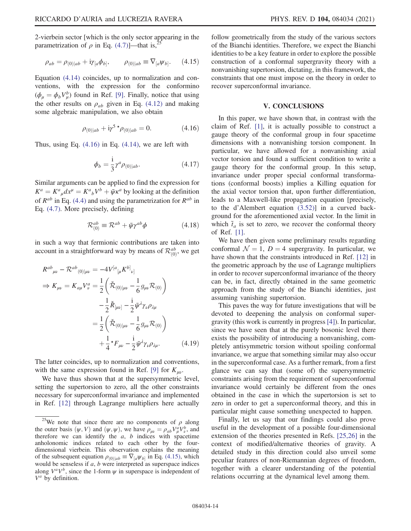2-vierbein sector [which is the only sector appearing in the parametrization of  $\rho$  in Eq. (4.7)]—that is,

$$
\rho_{ab} = \rho_{(0)|ab} + i\gamma_{[a}\phi_{b]}, \qquad \rho_{(0)|ab} \equiv \nabla_{[a}\psi_{b]}.\tag{4.15}
$$

Equation (4.14) coincides, up to normalization and conventions, with the expression for the conformino  $(\phi_{\mu} = \phi_{b} V_{\mu}^{b})$  found in Ref. [9]. Finally, notice that using<br>the other results on a coven in Eq. (4.12) and making the other results on  $\rho_{ab}$  given in Eq. (4.12) and making some algebraic manipulation, we also obtain

$$
\rho_{(0)|ab} + i\gamma^5 \star \rho_{(0)|ab} = 0. \tag{4.16}
$$

Thus, using Eq.  $(4.16)$  in Eq.  $(4.14)$ , we are left with

$$
\phi_b = \frac{\mathrm{i}}{3} \gamma^a \rho_{(0)|ab}.\tag{4.17}
$$

Similar arguments can be applied to find the expression for  $K^a = K^a{}_\mu dx^\mu = K^a{}_b V^b + \bar{\psi} \kappa^a$  by looking at the definition<br>of *Pab* in Eq. (4.4) and using the perspectivation for *Pab* in of  $R^{ab}$  in Eq. (4.4) and using the parametrization for  $R^{ab}$  in Eq. (4.7). More precisely, defining

$$
\mathcal{R}_{(0)}^{ab} \equiv \mathcal{R}^{ab} + \bar{\psi}\gamma^{ab}\phi \qquad (4.18)
$$

in such a way that fermionic contributions are taken into account in a straightforward way by means of  $\mathcal{R}_{(0)}^{ab}$ , we get

$$
R^{ab}_{\mu\nu} - \mathcal{R}^{ab}_{(0)|\mu\nu} = -4V^{[a}_{[\mu}K^{b]}_{\nu]}
$$
  
\n
$$
\Rightarrow K_{\mu\nu} = K_{a\mu}V^{a}_{\nu} = \frac{1}{2} \left( \check{\mathcal{R}}_{(0)|\mu\nu} - \frac{1}{6} g_{\mu\nu} \mathcal{R}_{(0)} \right)
$$
  
\n
$$
- \frac{1}{2} \check{R}_{[\mu\nu]} - \frac{1}{2} \bar{\psi}^{\lambda} \gamma_{\nu} \rho_{\lambda\mu}
$$
  
\n
$$
= \frac{1}{2} \left( \check{\mathcal{R}}_{(0)|\mu\nu} - \frac{1}{6} g_{\mu\nu} \mathcal{R}_{(0)} \right)
$$
  
\n
$$
+ \frac{1}{4} {}^{\star}F_{\mu\nu} - \frac{i}{2} \bar{\psi}^{\lambda} \gamma_{\nu} \rho_{\lambda\mu}.
$$
 (4.19)

The latter coincides, up to normalization and conventions, with the same expression found in Ref. [9] for  $K_{\mu\nu}$ .

We have thus shown that at the supersymmetric level, setting the supertorsion to zero, all the other constraints necessary for superconformal invariance and implemented in Ref. [12] through Lagrange multipliers here actually follow geometrically from the study of the various sectors of the Bianchi identities. Therefore, we expect the Bianchi identities to be a key feature in order to explore the possible construction of a conformal supergravity theory with a nonvanishing supertorsion, dictating, in this framework, the constraints that one must impose on the theory in order to recover superconformal invariance.

## V. CONCLUSIONS

In this paper, we have shown that, in contrast with the claim of Ref. [1], it is actually possible to construct a gauge theory of the conformal group in four spacetime dimensions with a nonvanishing torsion component. In particular, we have allowed for a nonvanishing axial vector torsion and found a sufficient condition to write a gauge theory for the conformal group. In this setup, invariance under proper special conformal transformations (conformal boosts) implies a Killing equation for the axial vector torsion that, upon further differentiation, leads to a Maxwell-like propagation equation [precisely, to the d'Alembert equation (3.52)] in a curved background for the aforementioned axial vector. In the limit in which  $\tilde{t}_a$  is set to zero, we recover the conformal theory of Ref. [1].

We have then given some preliminary results regarding conformal  $\mathcal{N} = 1$ ,  $D = 4$  supergravity. In particular, we have shown that the constraints introduced in Ref. [12] in the geometric approach by the use of Lagrange multipliers in order to recover superconformal invariance of the theory can be, in fact, directly obtained in the same geometric approach from the study of the Bianchi identities, just assuming vanishing supertorsion.

This paves the way for future investigations that will be devoted to deepening the analysis on conformal supergravity (this work is currently in progress [4]). In particular, since we have seen that at the purely bosonic level there exists the possibility of introducing a nonvanishing, completely antisymmetric torsion without spoiling conformal invariance, we argue that something similar may also occur in the superconformal case. As a further remark, from a first glance we can say that (some of) the supersymmetric constraints arising from the requirement of superconformal invariance would certainly be different from the ones obtained in the case in which the supertorsion is set to zero in order to get a superconformal theory, and this in particular might cause something unexpected to happen.

Finally, let us say that our findings could also prove useful in the development of a possible four-dimensional extension of the theories presented in Refs. [25,26] in the context of modified/alternative theories of gravity. A detailed study in this direction could also unveil some peculiar features of non-Riemannian degrees of freedom, together with a clearer understanding of the potential relations occurring at the dynamical level among them.

<sup>&</sup>lt;sup>25</sup>We note that since there are no components of  $\rho$  along the outer basis  $(\psi, V)$  and  $(\psi, \psi)$ , we have  $\rho_{\mu\nu} = \rho_{ab} V^a_{\mu} V^b_{\nu}$ , and therefore we can identify the *a b* indices with spacetime therefore we can identify the  $a$ ,  $b$  indices with spacetime anholonomic indices related to each other by the fourdimensional vierbein. This observation explains the meaning of the subsequent equation  $\rho_{(0)|ab} \equiv \nabla_{[a}\psi_{b]}$  in Eq. (4.15), which would be senseless if  $a$ ,  $b$  were interpreted as superspace indices along  $V^a V^b$ , since the 1-form  $\psi$  in superspace is independent of  $V^a$  by definition.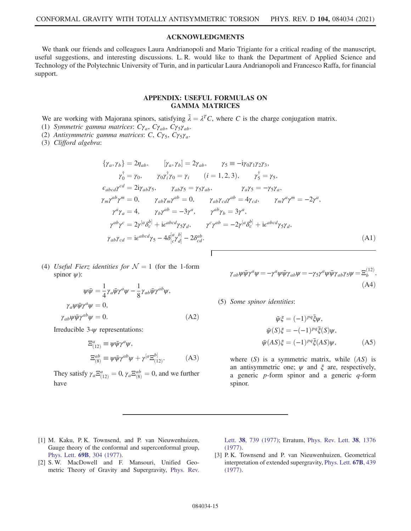## ACKNOWLEDGMENTS

We thank our friends and colleagues Laura Andrianopoli and Mario Trigiante for a critical reading of the manuscript, useful suggestions, and interesting discussions. L. R. would like to thank the Department of Applied Science and Technology of the Polytechnic University of Turin, and in particular Laura Andrianopoli and Francesco Raffa, for financial support.

## APPENDIX: USEFUL FORMULAS ON GAMMA MATRICES

We are working with Majorana spinors, satisfying  $\overline{\lambda} = \lambda^T C$ , where C is the charge conjugation matrix.<br>(1) Symmetric gamma matrices:  $C\overline{\lambda}$   $C\overline{\lambda}$   $C\overline{\lambda}$ .

- (1) Symmetric gamma matrices:  $C\gamma_a$ ,  $C\gamma_{ab}$ ,  $C\gamma_5\gamma_{ab}$ .
- (2) Antisymmetric gamma matrices: C,  $C\gamma_5$ ,  $C\gamma_5\gamma_a$ .

(3) Clifford algebra:

$$
\{\gamma_a, \gamma_b\} = 2\eta_{ab}, \qquad [\gamma_a, \gamma_b] = 2\gamma_{ab}, \qquad \gamma_5 = -i\gamma_0\gamma_1\gamma_2\gamma_3,
$$
  
\n
$$
\gamma_0^{\dagger} = \gamma_0, \qquad \gamma_0\gamma_i^{\dagger}\gamma_0 = \gamma_i \qquad (i = 1, 2, 3), \qquad \gamma_5^{\dagger} = \gamma_5,
$$
  
\n
$$
\epsilon_{abcd}\gamma^{cd} = 2i\gamma_{ab}\gamma_5, \qquad \gamma_{ab}\gamma_5 = \gamma_5\gamma_{ab}, \qquad \gamma_a\gamma_5 = -\gamma_5\gamma_a,
$$
  
\n
$$
\gamma_m\gamma^{ab}\gamma^m = 0, \qquad \gamma_{ab}\gamma_m\gamma^{ab} = 0, \qquad \gamma_{ab}\gamma_{cd}\gamma^{ab} = 4\gamma_{cd}, \qquad \gamma_m\gamma^a\gamma^m = -2\gamma^a,
$$
  
\n
$$
\gamma^a\gamma_a = 4, \qquad \gamma_b\gamma^{ab} = -3\gamma^a, \qquad \gamma^{ab}\gamma_b = 3\gamma^a,
$$
  
\n
$$
\gamma^{ab}\gamma^c = 2\gamma^{[a}\delta_c^{b]} + i\epsilon^{abcd}\gamma_5\gamma_d, \qquad \gamma^c\gamma^{ab} = -2\gamma^{[a}\delta_c^{b]} + i\epsilon^{abcd}\gamma_5\gamma_d,
$$
  
\n
$$
\gamma_{ab}\gamma_{cd} = i\epsilon^{abcd}\gamma_5 - 4\delta_{[c}^{[a}\gamma_{d]}^{b]} - 2\delta_{cd}^{ab}.
$$
  
\n(A1)

(4) Useful Fierz identities for  $\mathcal{N} = 1$  (for the 1-form spinor  $\psi$ :

$$
\psi \bar{\psi} = \frac{1}{4} \gamma_a \bar{\psi} \gamma^a \psi - \frac{1}{8} \gamma_{ab} \bar{\psi} \gamma^{ab} \psi,
$$
  
\n
$$
\gamma_a \psi \bar{\psi} \gamma^a \psi = 0,
$$
  
\n
$$
\gamma_{ab} \psi \bar{\psi} \gamma^{ab} \psi = 0.
$$
 (A2)

Irreducible  $3-\psi$  representations:

$$
\Xi^{a}_{(12)} \equiv \psi \bar{\psi} \gamma^{a} \psi,
$$
  
\n
$$
\Xi^{ab}_{(8)} \equiv \psi \bar{\psi} \gamma^{ab} \psi + \gamma^{[a} \Xi^{b]}_{(12)}.
$$
\n(A3)

They satisfy  $\gamma_a \Xi_{(12)}^a = 0$ ,  $\gamma_a \Xi_{(8)}^{ab} = 0$ , and we further have

$$
\gamma_{ab}\psi\bar{\psi}\gamma^a\psi = -\gamma^a\psi\bar{\psi}\gamma_{ab}\psi = -\gamma_5\gamma^a\psi\bar{\psi}\gamma_{ab}\gamma_5\psi = \Xi_b^{(12)}.
$$
\n(A4)

(5) Some spinor identities:

$$
\bar{\psi}\xi = (-1)^{pq}\bar{\xi}\psi,
$$
  
\n
$$
\bar{\psi}(S)\xi = -(-1)^{pq}\bar{\xi}(S)\psi,
$$
  
\n
$$
\bar{\psi}(AS)\xi = (-1)^{pq}\bar{\xi}(AS)\psi,
$$
\n(A5)

where  $(S)$  is a symmetric matrix, while  $(AS)$  is an antisymmetric one;  $\psi$  and  $\xi$  are, respectively, a generic  $p$ -form spinor and a generic  $q$ -form spinor.

- [1] M. Kaku, P. K. Townsend, and P. van Nieuwenhuizen, Gauge theory of the conformal and superconformal group, Phys. Lett. 69B[, 304 \(1977\).](https://doi.org/10.1016/0370-2693(77)90552-4)
- [2] S. W. MacDowell and F. Mansouri, Unified Geometric Theory of Gravity and Supergravity, [Phys. Rev.](https://doi.org/10.1103/PhysRevLett.38.739)

Lett. 38[, 739 \(1977\)](https://doi.org/10.1103/PhysRevLett.38.739); Erratum, [Phys. Rev. Lett.](https://doi.org/10.1103/PhysRevLett.38.1376) 38, 1376 [\(1977\).](https://doi.org/10.1103/PhysRevLett.38.1376)

[3] P. K. Townsend and P. van Nieuwenhuizen, Geometrical interpretation of extended supergravity, [Phys. Lett.](https://doi.org/10.1016/0370-2693(77)90439-7) 67B, 439 [\(1977\).](https://doi.org/10.1016/0370-2693(77)90439-7)